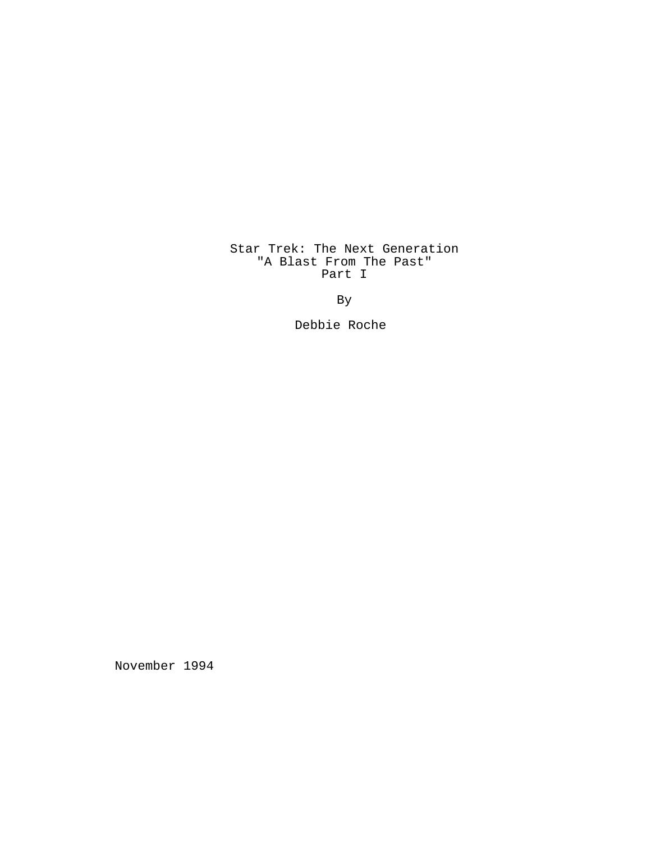# Star Trek: The Next Generation "A Blast From The Past" Part I

By

Debbie Roche

November 1994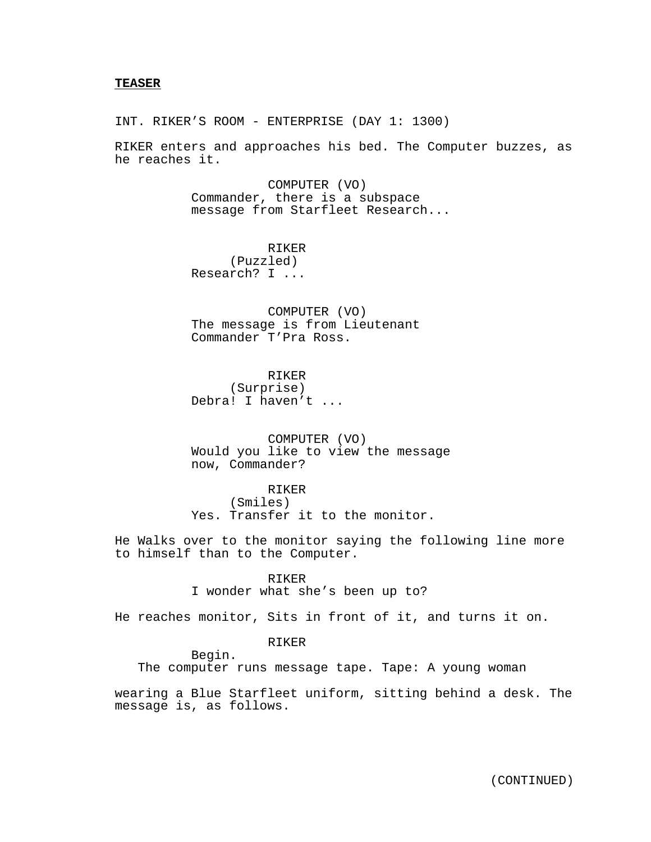INT. RIKER'S ROOM - ENTERPRISE (DAY 1: 1300)

RIKER enters and approaches his bed. The Computer buzzes, as he reaches it.

> COMPUTER (VO) Commander, there is a subspace message from Starfleet Research...

RIKER (Puzzled) Research? I ...

COMPUTER (VO) The message is from Lieutenant Commander T'Pra Ross.

RIKER (Surprise) Debra! I haven't ...

COMPUTER (VO) Would you like to view the message now, Commander?

RIKER (Smiles) Yes. Transfer it to the monitor.

He Walks over to the monitor saying the following line more to himself than to the Computer.

#### RIKER

I wonder what she's been up to?

He reaches monitor, Sits in front of it, and turns it on.

## RIKER

Begin.

The computer runs message tape. Tape: A young woman

wearing a Blue Starfleet uniform, sitting behind a desk. The message is, as follows.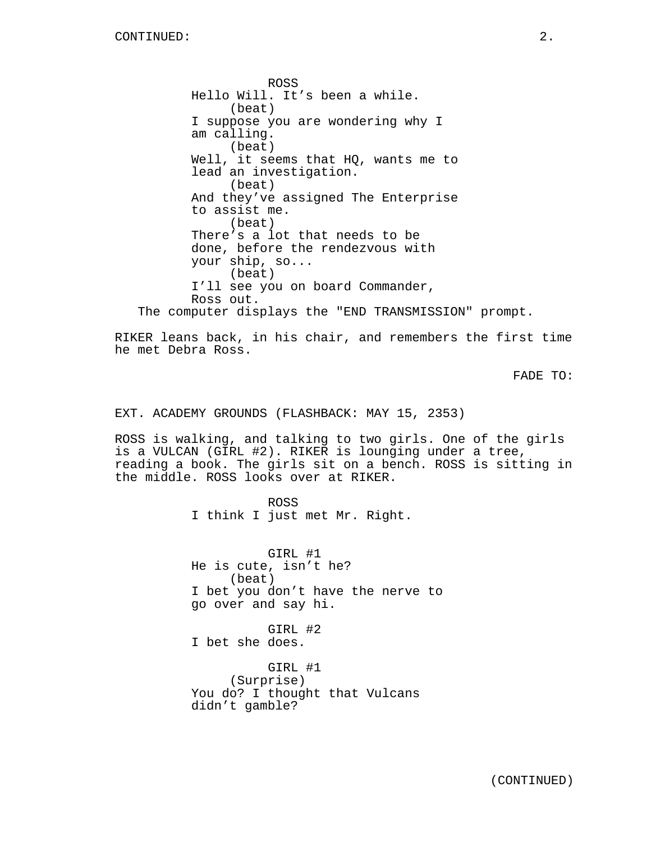ROSS Hello Will. It's been a while. (beat) I suppose you are wondering why I am calling. (beat) Well, it seems that HQ, wants me to lead an investigation. (beat) And they've assigned The Enterprise to assist me. (beat) There's a lot that needs to be done, before the rendezvous with your ship, so... (beat) I'll see you on board Commander, Ross out. The computer displays the "END TRANSMISSION" prompt.

RIKER leans back, in his chair, and remembers the first time he met Debra Ross.

FADE TO:

EXT. ACADEMY GROUNDS (FLASHBACK: MAY 15, 2353)

ROSS is walking, and talking to two girls. One of the girls is a VULCAN (GIRL #2). RIKER is lounging under a tree, reading a book. The girls sit on a bench. ROSS is sitting in the middle. ROSS looks over at RIKER.

> ROSS I think I just met Mr. Right.

GIRL #1 He is cute, isn't he? (beat) I bet you don't have the nerve to go over and say hi.

GIRL #2 I bet she does.

GIRL #1 (Surprise) You do? I thought that Vulcans didn't gamble?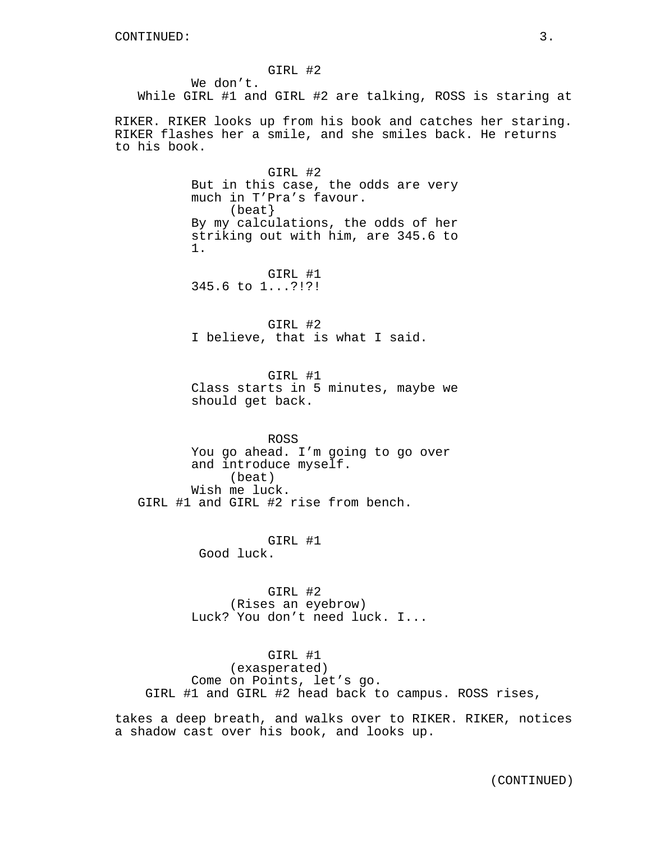GIRL #2

We don't. While GIRL #1 and GIRL #2 are talking, ROSS is staring at

RIKER. RIKER looks up from his book and catches her staring. RIKER flashes her a smile, and she smiles back. He returns to his book.

> GIRL #2 But in this case, the odds are very much in T'Pra's favour. (beat} By my calculations, the odds of her striking out with him, are 345.6 to 1.

GIRL #1 345.6 to 1...?!?!

GIRL #2 I believe, that is what I said.

GIRL #1 Class starts in 5 minutes, maybe we should get back.

ROSS You go ahead. I'm going to go over and introduce myself. (beat) Wish me luck. GIRL #1 and GIRL #2 rise from bench.

> GIRL #1 Good luck.

GIRL #2 (Rises an eyebrow) Luck? You don't need luck. I...

GIRL #1 (exasperated) Come on Points, let's go. GIRL #1 and GIRL #2 head back to campus. ROSS rises,

takes a deep breath, and walks over to RIKER. RIKER, notices a shadow cast over his book, and looks up.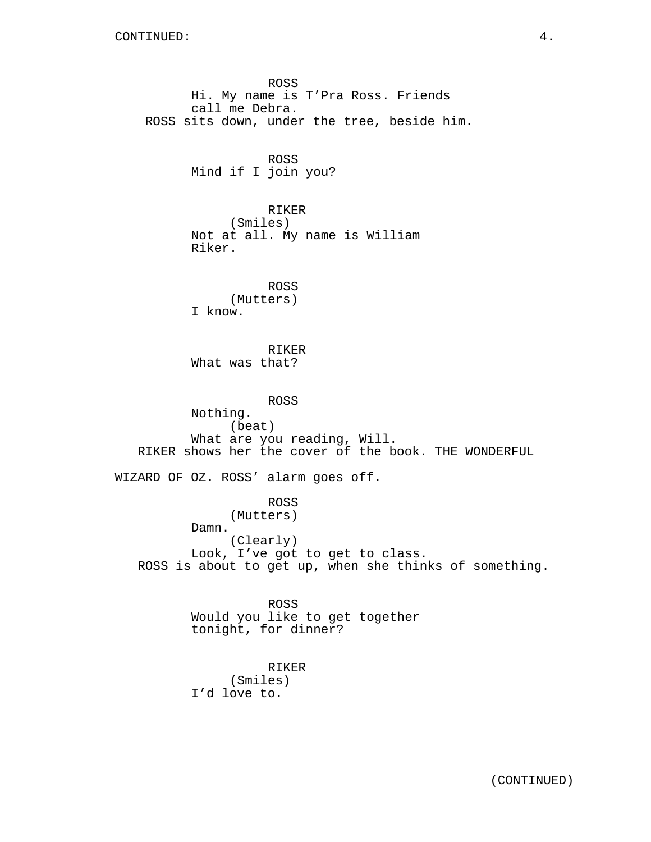ROSS Hi. My name is T'Pra Ross. Friends call me Debra. ROSS sits down, under the tree, beside him. ROSS Mind if I join you? RIKER (Smiles) Not at all. My name is William Riker. ROSS (Mutters) I know. RIKER What was that? ROSS Nothing. (beat) What are you reading, Will. RIKER shows her the cover of the book. THE WONDERFUL WIZARD OF OZ. ROSS' alarm goes off. ROSS (Mutters) Damn. (Clearly) Look, I've got to get to class. ROSS is about to get up, when she thinks of something. ROSS Would you like to get together tonight, for dinner? RIKER

(Smiles) I'd love to.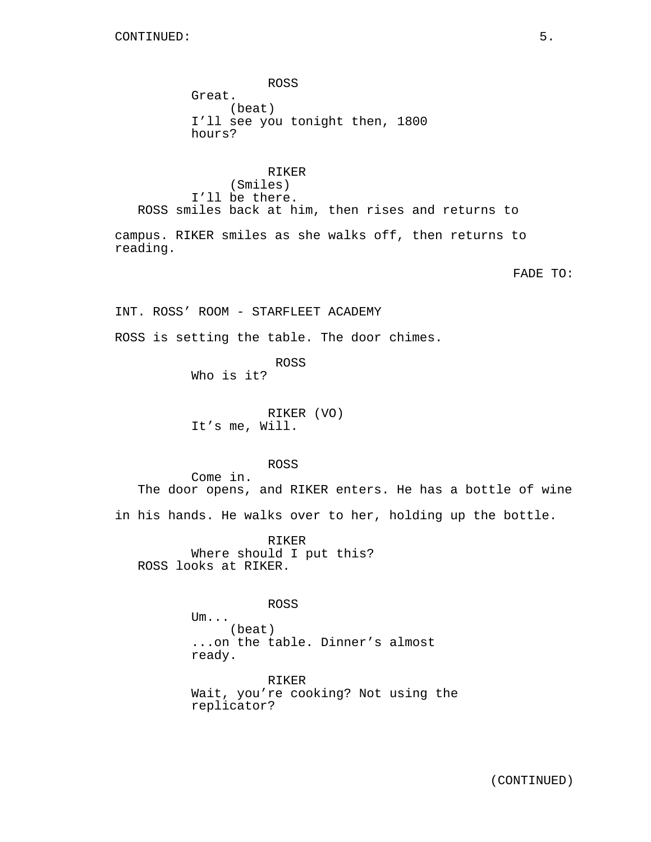ROSS Great. (beat) I'll see you tonight then, 1800 hours?

RIKER (Smiles) I'll be there. ROSS smiles back at him, then rises and returns to

campus. RIKER smiles as she walks off, then returns to reading.

FADE TO:

INT. ROSS' ROOM - STARFLEET ACADEMY

ROSS is setting the table. The door chimes.

ROSS Who is it?

RIKER (VO) It's me, Will.

ROSS

Come in. The door opens, and RIKER enters. He has a bottle of wine in his hands. He walks over to her, holding up the bottle.

RIKER Where should I put this? ROSS looks at RIKER.

ROSS

Um... (beat) ...on the table. Dinner's almost ready.

RIKER Wait, you're cooking? Not using the replicator?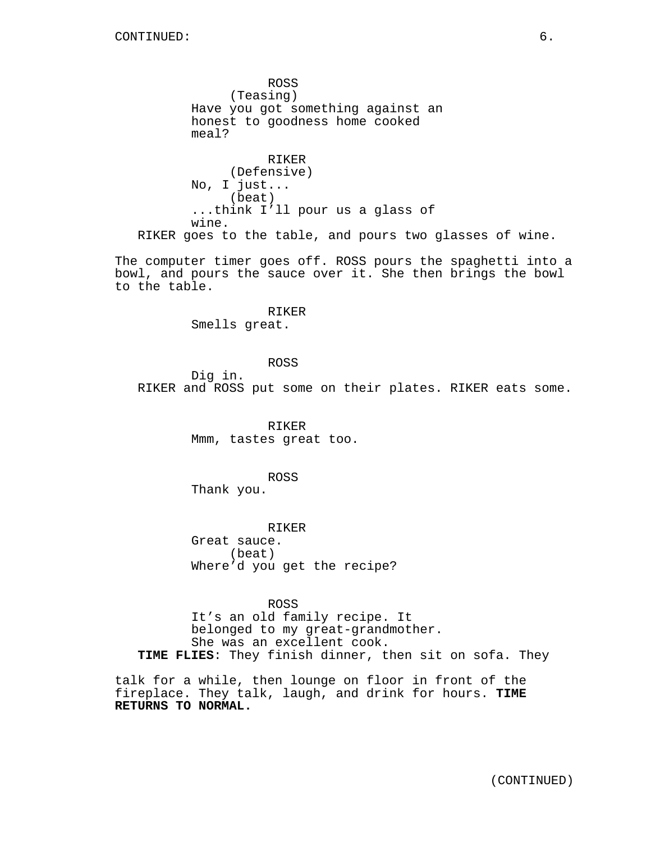ROSS (Teasing) Have you got something against an honest to goodness home cooked meal? RIKER (Defensive) No, I just... (beat) ...think I'll pour us a glass of wine. RIKER goes to the table, and pours two glasses of wine.

The computer timer goes off. ROSS pours the spaghetti into a bowl, and pours the sauce over it. She then brings the bowl to the table.

> RIKER Smells great.

ROSS Dig in. RIKER and ROSS put some on their plates. RIKER eats some.

> RIKER Mmm, tastes great too.

ROSS Thank you.

RIKER Great sauce. (beat) Where'd you get the recipe?

ROSS It's an old family recipe. It belonged to my great-grandmother. She was an excellent cook. **TIME FLIES**: They finish dinner, then sit on sofa. They

talk for a while, then lounge on floor in front of the fireplace. They talk, laugh, and drink for hours. **TIME RETURNS TO NORMAL.**

(CONTINUED)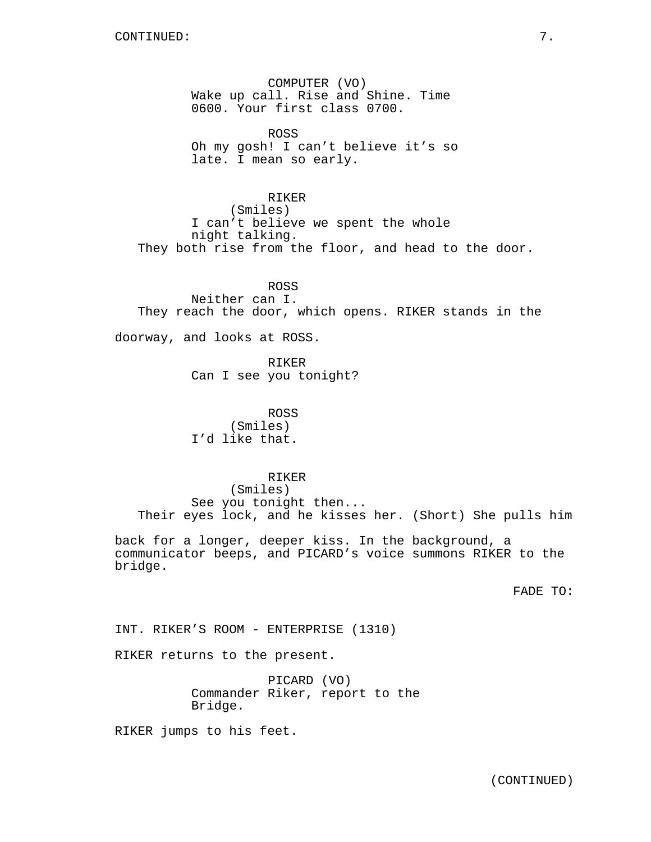COMPUTER (VO) Wake up call. Rise and Shine. Time 0600. Your first class 0700.

ROSS Oh my gosh! I can't believe it's so late. I mean so early.

RIKER (Smiles) I can't believe we spent the whole night talking. They both rise from the floor, and head to the door.

ROSS Neither can I. They reach the door, which opens. RIKER stands in the

doorway, and looks at ROSS.

RIKER Can I see you tonight?

ROSS (Smiles) I'd like that.

RIKER

(Smiles) See you tonight then... Their eyes lock, and he kisses her. (Short) She pulls him

back for a longer, deeper kiss. In the background, a communicator beeps, and PICARD's voice summons RIKER to the bridge.

FADE TO:

INT. RIKER'S ROOM - ENTERPRISE (1310)

RIKER returns to the present.

PICARD (VO) Commander Riker, report to the Bridge.

RIKER jumps to his feet.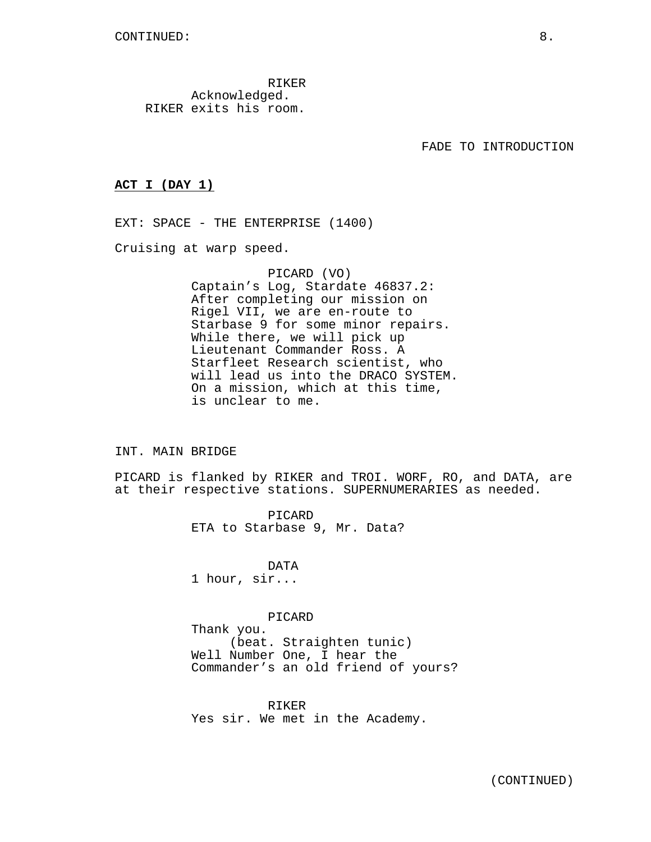RIKER Acknowledged. RIKER exits his room.

FADE TO INTRODUCTION

#### **ACT I (DAY 1)**

EXT: SPACE - THE ENTERPRISE (1400)

Cruising at warp speed.

PICARD (VO) Captain's Log, Stardate 46837.2: After completing our mission on Rigel VII, we are en-route to Starbase 9 for some minor repairs. While there, we will pick up Lieutenant Commander Ross. A Starfleet Research scientist, who will lead us into the DRACO SYSTEM. On a mission, which at this time, is unclear to me.

#### INT. MAIN BRIDGE

PICARD is flanked by RIKER and TROI. WORF, RO, and DATA, are at their respective stations. SUPERNUMERARIES as needed.

> PICARD ETA to Starbase 9, Mr. Data?

DATA 1 hour, sir...

#### PICARD

Thank you. (beat. Straighten tunic) Well Number One, I hear the Commander's an old friend of yours?

RIKER Yes sir. We met in the Academy.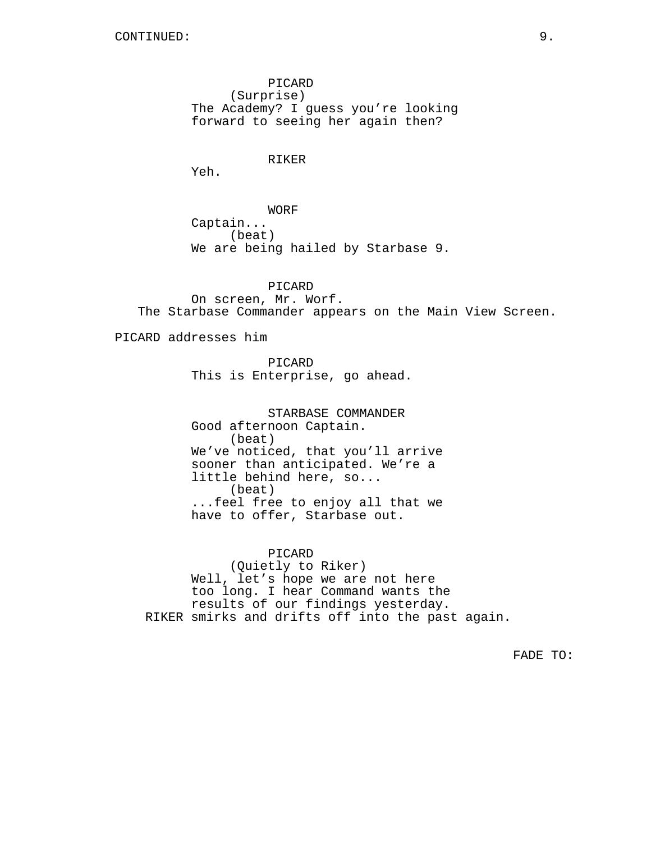PICARD (Surprise) The Academy? I guess you're looking forward to seeing her again then?

RIKER

Yeh.

WORF Captain... (beat) We are being hailed by Starbase 9.

PICARD On screen, Mr. Worf. The Starbase Commander appears on the Main View Screen.

PICARD addresses him

PICARD This is Enterprise, go ahead.

STARBASE COMMANDER Good afternoon Captain. (beat) We've noticed, that you'll arrive sooner than anticipated. We're a little behind here, so... (beat) ...feel free to enjoy all that we have to offer, Starbase out.

PICARD (Quietly to Riker) Well, let's hope we are not here too long. I hear Command wants the results of our findings yesterday. RIKER smirks and drifts off into the past again.

FADE TO: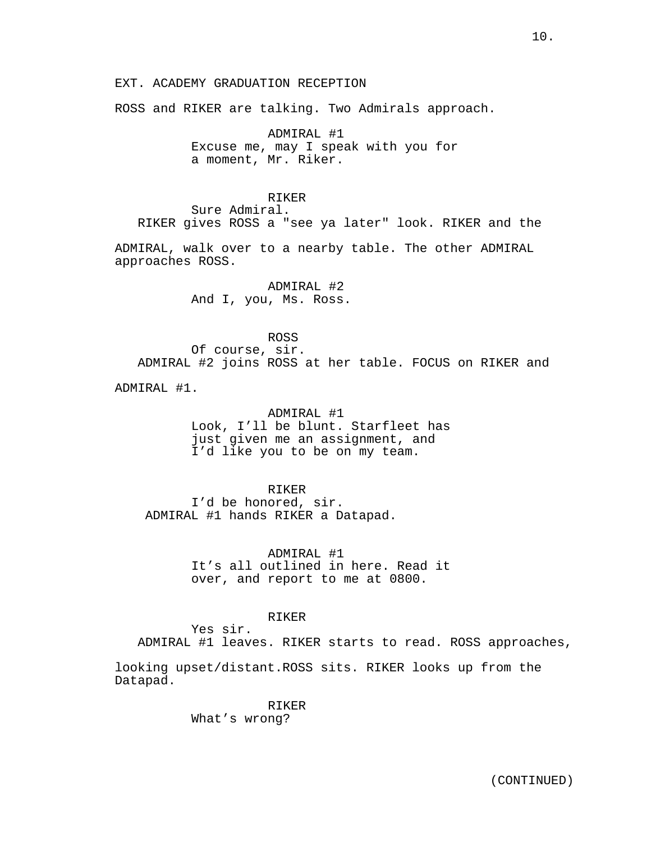ROSS and RIKER are talking. Two Admirals approach.

ADMIRAL #1 Excuse me, may I speak with you for a moment, Mr. Riker.

#### RIKER

Sure Admiral. RIKER gives ROSS a "see ya later" look. RIKER and the

ADMIRAL, walk over to a nearby table. The other ADMIRAL approaches ROSS.

> ADMIRAL #2 And I, you, Ms. Ross.

ROSS Of course, sir. ADMIRAL #2 joins ROSS at her table. FOCUS on RIKER and

ADMIRAL #1.

ADMIRAL #1 Look, I'll be blunt. Starfleet has just given me an assignment, and I'd like you to be on my team.

RIKER I'd be honored, sir. ADMIRAL #1 hands RIKER a Datapad.

> ADMIRAL #1 It's all outlined in here. Read it over, and report to me at 0800.

> > RIKER

Yes sir. ADMIRAL #1 leaves. RIKER starts to read. ROSS approaches,

looking upset/distant.ROSS sits. RIKER looks up from the Datapad.

> RIKER What's wrong?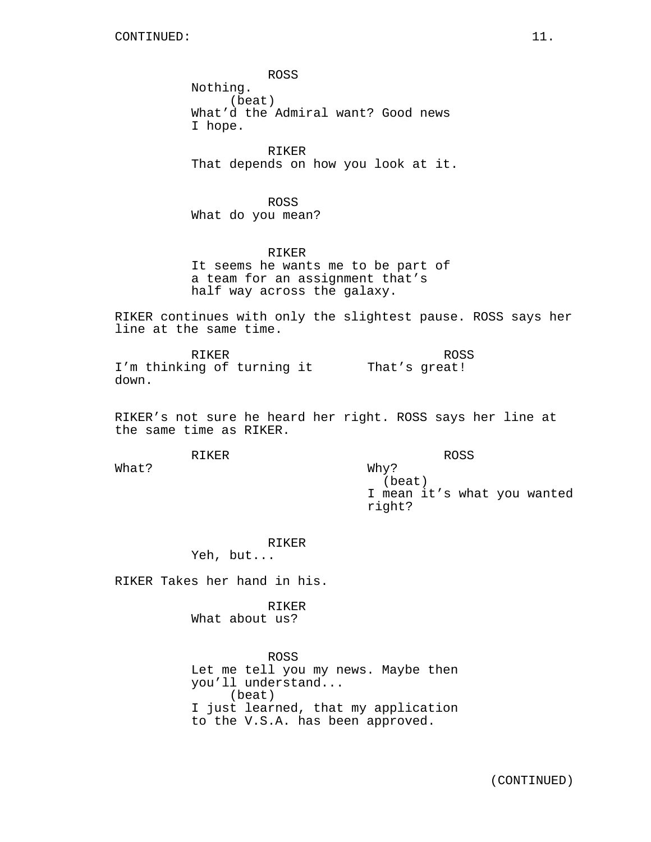ROSS Nothing. (beat) What'd the Admiral want? Good news I hope.

RIKER That depends on how you look at it.

ROSS What do you mean?

RIKER It seems he wants me to be part of a team for an assignment that's half way across the galaxy.

RIKER continues with only the slightest pause. ROSS says her line at the same time.

RIKER I'm thinking of turning it That's great! down. ROSS

RIKER's not sure he heard her right. ROSS says her line at the same time as RIKER.

Why?

RIKER

ROSS

What?

(beat) I mean it's what you wanted right?

RIKER

Yeh, but...

RIKER Takes her hand in his.

RIKER What about us?

ROSS Let me tell you my news. Maybe then you'll understand... (beat) I just learned, that my application to the V.S.A. has been approved.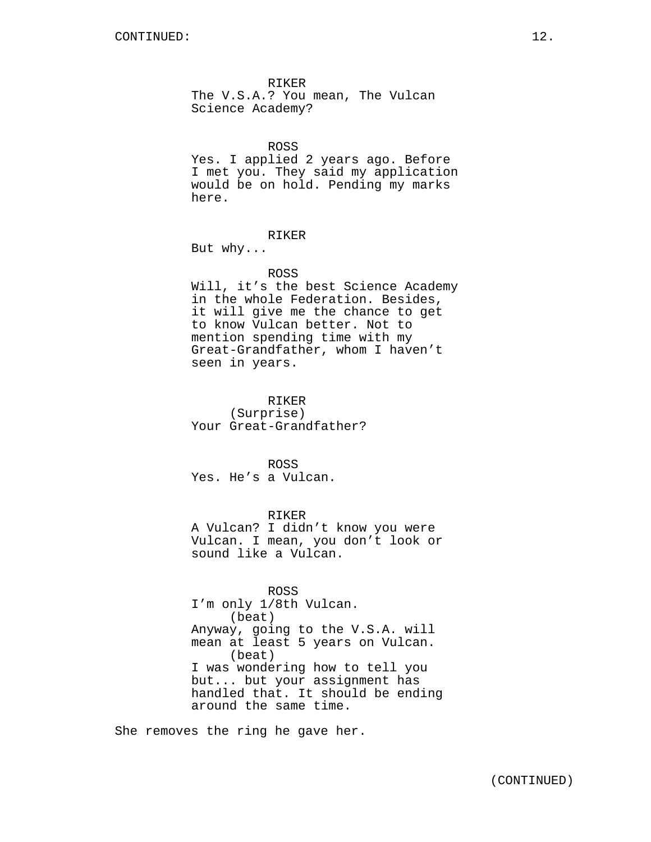RIKER The V.S.A.? You mean, The Vulcan Science Academy?

ROSS

Yes. I applied 2 years ago. Before I met you. They said my application would be on hold. Pending my marks here.

#### RIKER

But why...

#### ROSS

Will, it's the best Science Academy in the whole Federation. Besides, it will give me the chance to get to know Vulcan better. Not to mention spending time with my Great-Grandfather, whom I haven't seen in years.

RIKER (Surprise) Your Great-Grandfather?

ROSS Yes. He's a Vulcan.

RIKER A Vulcan? I didn't know you were Vulcan. I mean, you don't look or sound like a Vulcan.

#### ROSS

I'm only 1/8th Vulcan. (beat) Anyway, going to the V.S.A. will mean at least 5 years on Vulcan. (beat) I was wondering how to tell you but... but your assignment has handled that. It should be ending around the same time.

She removes the ring he gave her.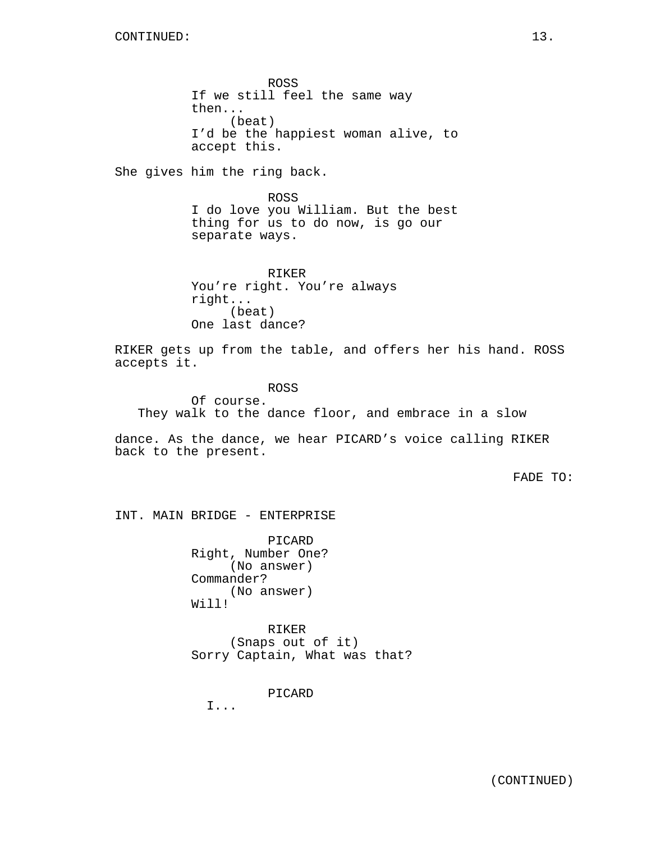ROSS If we still feel the same way then... (beat) I'd be the happiest woman alive, to accept this.

She gives him the ring back.

ROSS I do love you William. But the best thing for us to do now, is go our separate ways.

RIKER You're right. You're always right... (beat) One last dance?

RIKER gets up from the table, and offers her his hand. ROSS accepts it.

ROSS Of course. They walk to the dance floor, and embrace in a slow

dance. As the dance, we hear PICARD's voice calling RIKER back to the present.

FADE TO:

INT. MAIN BRIDGE - ENTERPRISE

PICARD Right, Number One? (No answer) Commander? (No answer) Will!

RIKER (Snaps out of it) Sorry Captain, What was that?

PICARD

I...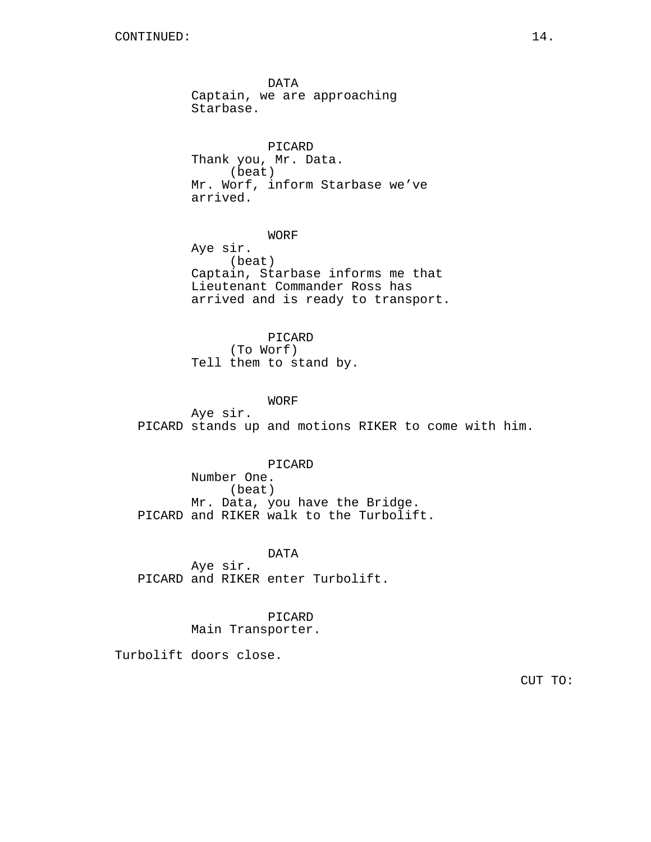DATA Captain, we are approaching Starbase.

PICARD Thank you, Mr. Data. (beat) Mr. Worf, inform Starbase we've arrived.

WORF

Aye sir. (beat) Captain, Starbase informs me that Lieutenant Commander Ross has arrived and is ready to transport.

PICARD (To Worf) Tell them to stand by.

WORF

Aye sir. PICARD stands up and motions RIKER to come with him.

PICARD Number One. (beat) Mr. Data, you have the Bridge. PICARD and RIKER walk to the Turbolift.

DATA Aye sir. PICARD and RIKER enter Turbolift.

> PICARD Main Transporter.

Turbolift doors close.

CUT TO: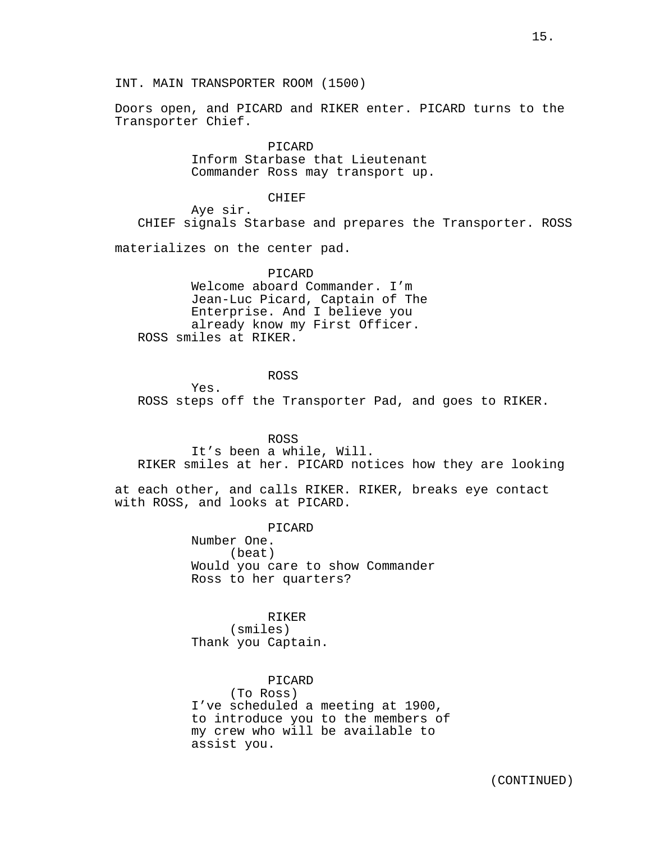INT. MAIN TRANSPORTER ROOM (1500)

Doors open, and PICARD and RIKER enter. PICARD turns to the Transporter Chief.

> PICARD Inform Starbase that Lieutenant Commander Ross may transport up.

#### CHIEF

Aye sir. CHIEF signals Starbase and prepares the Transporter. ROSS

materializes on the center pad.

PICARD Welcome aboard Commander. I'm Jean-Luc Picard, Captain of The Enterprise. And I believe you already know my First Officer. ROSS smiles at RIKER.

ROSS

Yes. ROSS steps off the Transporter Pad, and goes to RIKER.

ROSS

It's been a while, Will. RIKER smiles at her. PICARD notices how they are looking

at each other, and calls RIKER. RIKER, breaks eye contact with ROSS, and looks at PICARD.

PICARD

Number One. (beat) Would you care to show Commander Ross to her quarters?

## RIKER

(smiles) Thank you Captain.

assist you.

PICARD (To Ross) I've scheduled a meeting at 1900, to introduce you to the members of my crew who will be available to

(CONTINUED)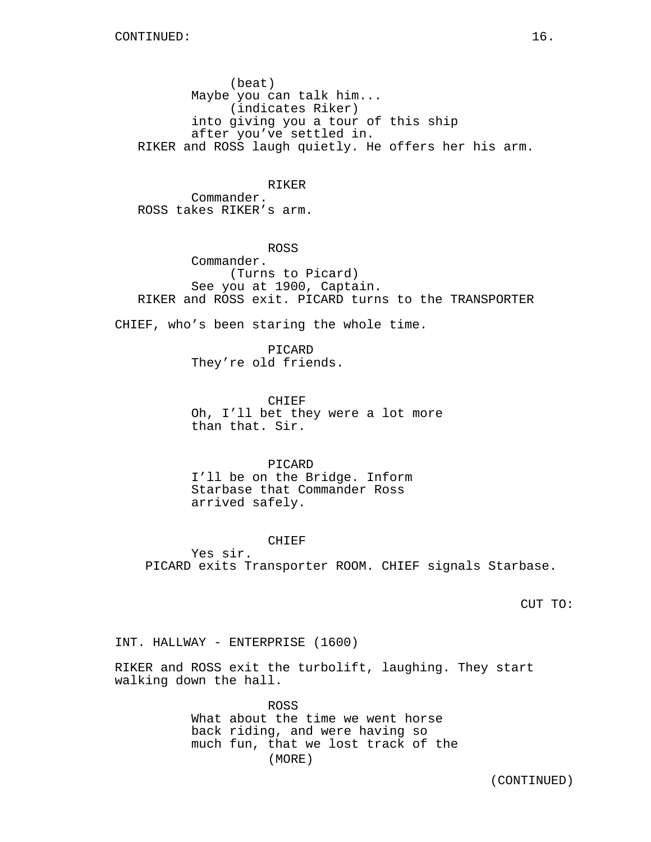(beat) Maybe you can talk him... (indicates Riker) into giving you a tour of this ship after you've settled in. RIKER and ROSS laugh quietly. He offers her his arm.

RIKER Commander. ROSS takes RIKER's arm.

ROSS Commander. (Turns to Picard) See you at 1900, Captain. RIKER and ROSS exit. PICARD turns to the TRANSPORTER

CHIEF, who's been staring the whole time.

PICARD They're old friends.

CHIEF Oh, I'll bet they were a lot more than that. Sir.

PICARD I'll be on the Bridge. Inform Starbase that Commander Ross arrived safely.

#### CHIEF

Yes sir. PICARD exits Transporter ROOM. CHIEF signals Starbase.

CUT TO:

INT. HALLWAY - ENTERPRISE (1600)

RIKER and ROSS exit the turbolift, laughing. They start walking down the hall.

> ROSS What about the time we went horse back riding, and were having so much fun, that we lost track of the (MORE)

> > (CONTINUED)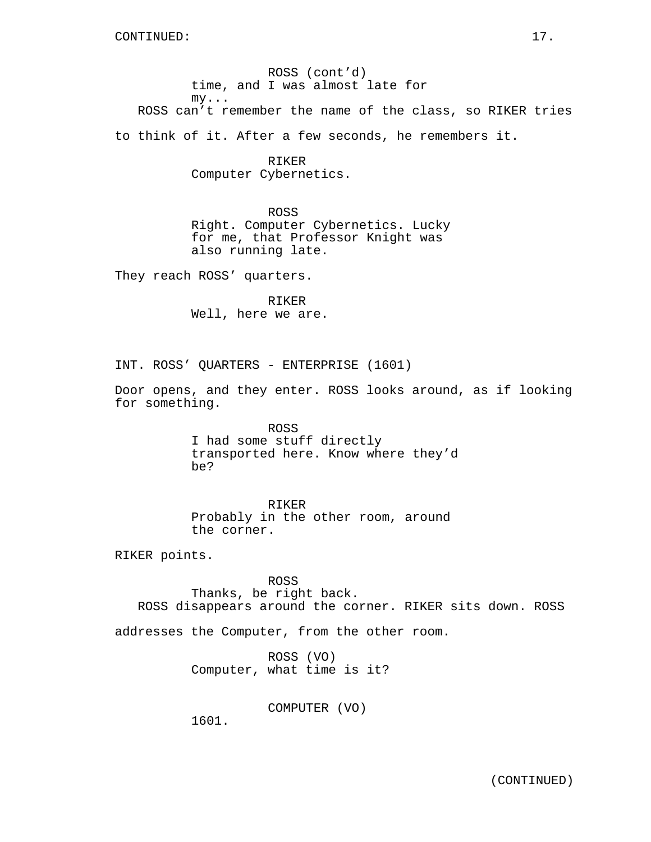ROSS (cont'd) time, and I was almost late for my... ROSS can't remember the name of the class, so RIKER tries

to think of it. After a few seconds, he remembers it.

RIKER Computer Cybernetics.

ROSS Right. Computer Cybernetics. Lucky for me, that Professor Knight was also running late.

They reach ROSS' quarters.

RIKER Well, here we are.

INT. ROSS' QUARTERS - ENTERPRISE (1601)

Door opens, and they enter. ROSS looks around, as if looking for something.

> ROSS I had some stuff directly transported here. Know where they'd be?

RIKER Probably in the other room, around the corner.

RIKER points.

ROSS Thanks, be right back. ROSS disappears around the corner. RIKER sits down. ROSS

addresses the Computer, from the other room.

ROSS (VO) Computer, what time is it?

COMPUTER (VO)

1601.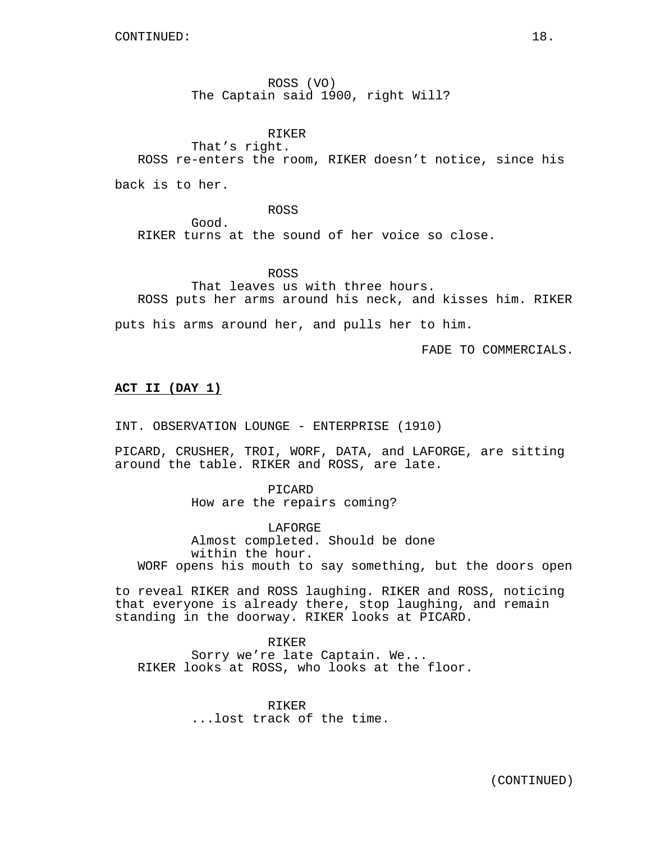ROSS (VO) The Captain said 1900, right Will?

RIKER

That's right.

ROSS re-enters the room, RIKER doesn't notice, since his

back is to her.

Good.

ROSS

RIKER turns at the sound of her voice so close.

ROSS

That leaves us with three hours. ROSS puts her arms around his neck, and kisses him. RIKER

puts his arms around her, and pulls her to him.

FADE TO COMMERCIALS.

## **ACT II (DAY 1)**

INT. OBSERVATION LOUNGE - ENTERPRISE (1910)

PICARD, CRUSHER, TROI, WORF, DATA, and LAFORGE, are sitting around the table. RIKER and ROSS, are late.

> PICARD How are the repairs coming?

LAFORGE Almost completed. Should be done within the hour. WORF opens his mouth to say something, but the doors open

to reveal RIKER and ROSS laughing. RIKER and ROSS, noticing that everyone is already there, stop laughing, and remain standing in the doorway. RIKER looks at PICARD.

RIKER

Sorry we're late Captain. We... RIKER looks at ROSS, who looks at the floor.

> RIKER ...lost track of the time.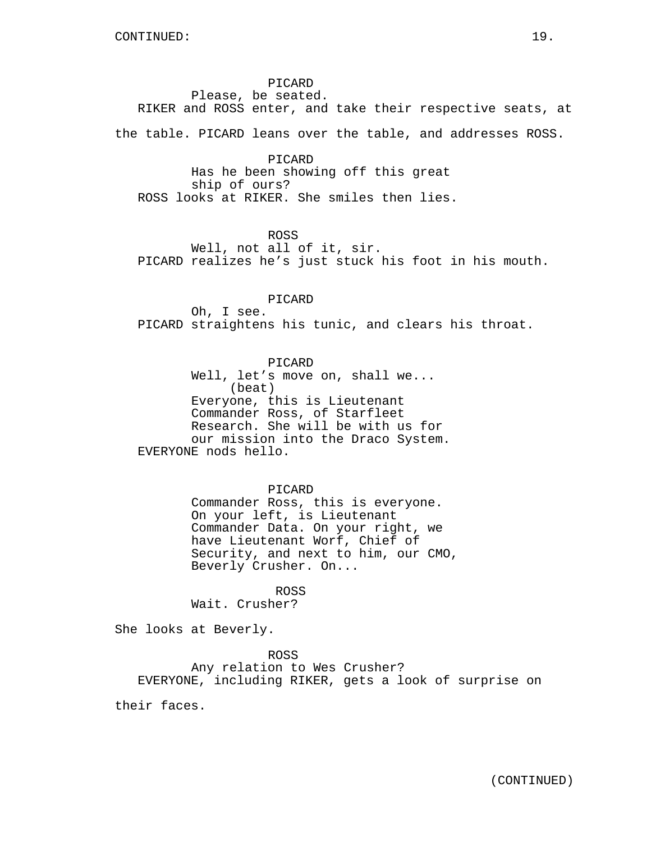PICARD

Please, be seated. RIKER and ROSS enter, and take their respective seats, at

the table. PICARD leans over the table, and addresses ROSS.

## PICARD Has he been showing off this great ship of ours? ROSS looks at RIKER. She smiles then lies.

## ROSS

Well, not all of it, sir. PICARD realizes he's just stuck his foot in his mouth.

## PICARD

Oh, I see. PICARD straightens his tunic, and clears his throat.

# PICARD

Well, let's move on, shall we... (beat) Everyone, this is Lieutenant Commander Ross, of Starfleet Research. She will be with us for our mission into the Draco System. EVERYONE nods hello.

#### PICARD

Commander Ross, this is everyone. On your left, is Lieutenant Commander Data. On your right, we have Lieutenant Worf, Chief of Security, and next to him, our CMO, Beverly Crusher. On...

#### ROSS

Wait. Crusher?

She looks at Beverly.

ROSS Any relation to Wes Crusher? EVERYONE, including RIKER, gets a look of surprise on

their faces.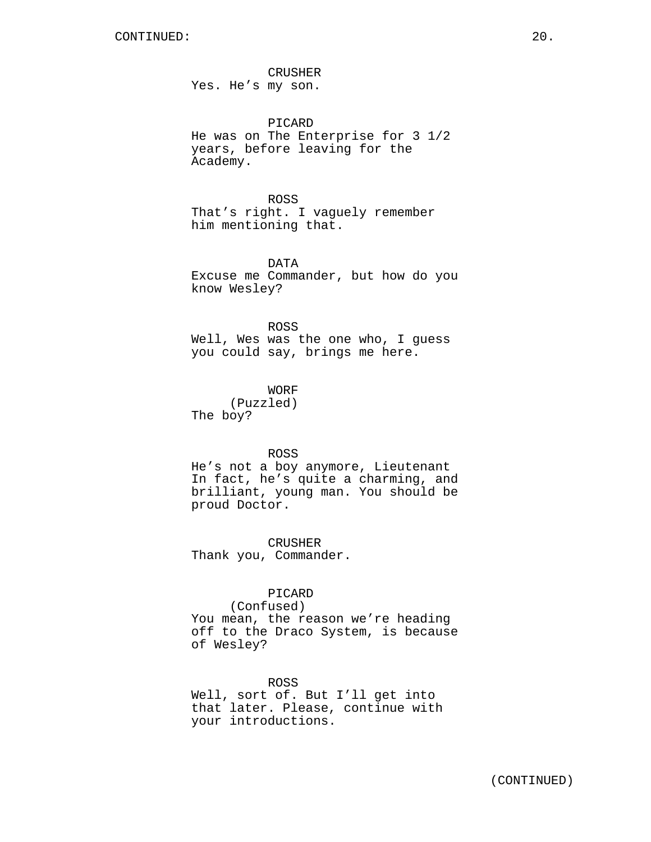CRUSHER Yes. He's my son.

PICARD He was on The Enterprise for 3 1/2 years, before leaving for the Academy.

ROSS That's right. I vaguely remember him mentioning that.

DATA Excuse me Commander, but how do you know Wesley?

ROSS Well, Wes was the one who, I guess you could say, brings me here.

WORF (Puzzled) The boy?

ROSS

He's not a boy anymore, Lieutenant In fact, he's quite a charming, and brilliant, young man. You should be proud Doctor.

CRUSHER Thank you, Commander.

PICARD

(Confused) You mean, the reason we're heading off to the Draco System, is because of Wesley?

ROSS Well, sort of. But I'll get into that later. Please, continue with your introductions.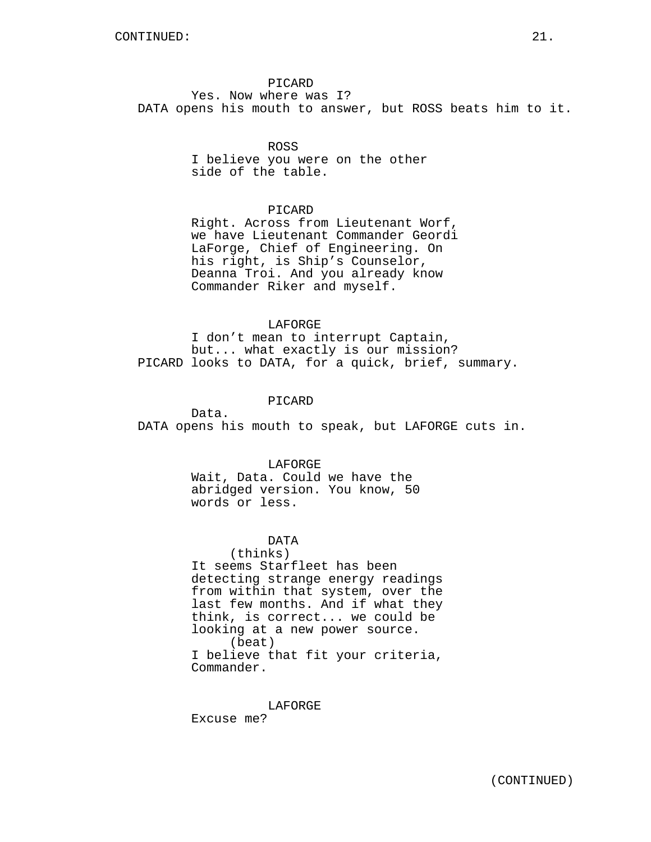## PICARD

Yes. Now where was I? DATA opens his mouth to answer, but ROSS beats him to it.

## ROSS

I believe you were on the other side of the table.

## PICARD

Right. Across from Lieutenant Worf, we have Lieutenant Commander Geordi LaForge, Chief of Engineering. On his right, is Ship's Counselor, Deanna Troi. And you already know Commander Riker and myself.

#### LAFORGE

I don't mean to interrupt Captain, but... what exactly is our mission? PICARD looks to DATA, for a quick, brief, summary.

## PICARD

Data. DATA opens his mouth to speak, but LAFORGE cuts in.

#### LAFORGE

Wait, Data. Could we have the abridged version. You know, 50 words or less.

## DATA

(thinks) It seems Starfleet has been detecting strange energy readings from within that system, over the last few months. And if what they think, is correct... we could be looking at a new power source. (beat) I believe that fit your criteria, Commander.

LAFORGE

Excuse me?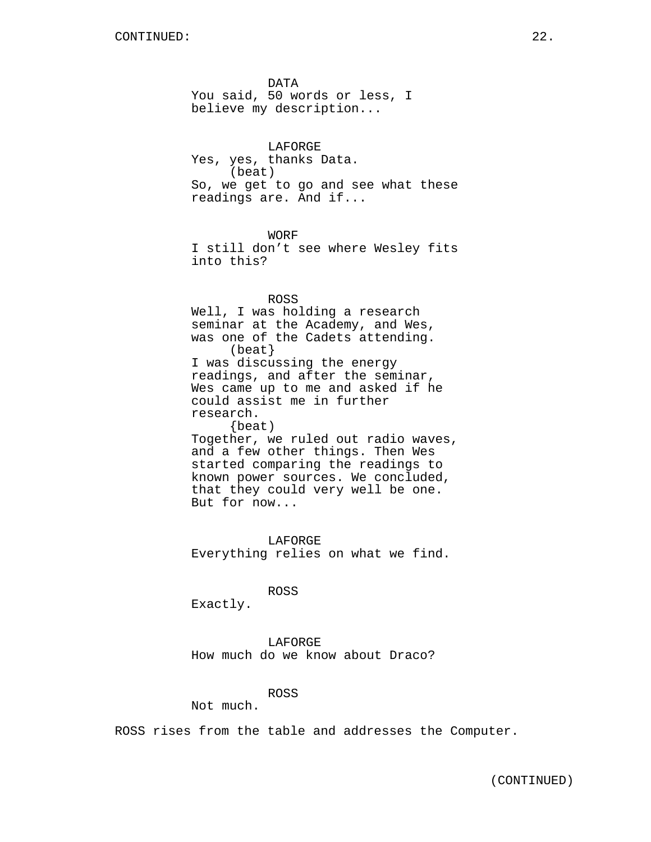DATA You said, 50 words or less, I believe my description...

LAFORGE Yes, yes, thanks Data. (beat) So, we get to go and see what these readings are. And if...

WORF

I still don't see where Wesley fits into this?

ROSS

Well, I was holding a research seminar at the Academy, and Wes, was one of the Cadets attending. (beat} I was discussing the energy readings, and after the seminar, Wes came up to me and asked if he could assist me in further research. {beat) Together, we ruled out radio waves, and a few other things. Then Wes started comparing the readings to known power sources. We concluded, that they could very well be one.

But for now...

LAFORGE Everything relies on what we find.

ROSS

Exactly.

LAFORGE How much do we know about Draco?

#### ROSS

Not much.

ROSS rises from the table and addresses the Computer.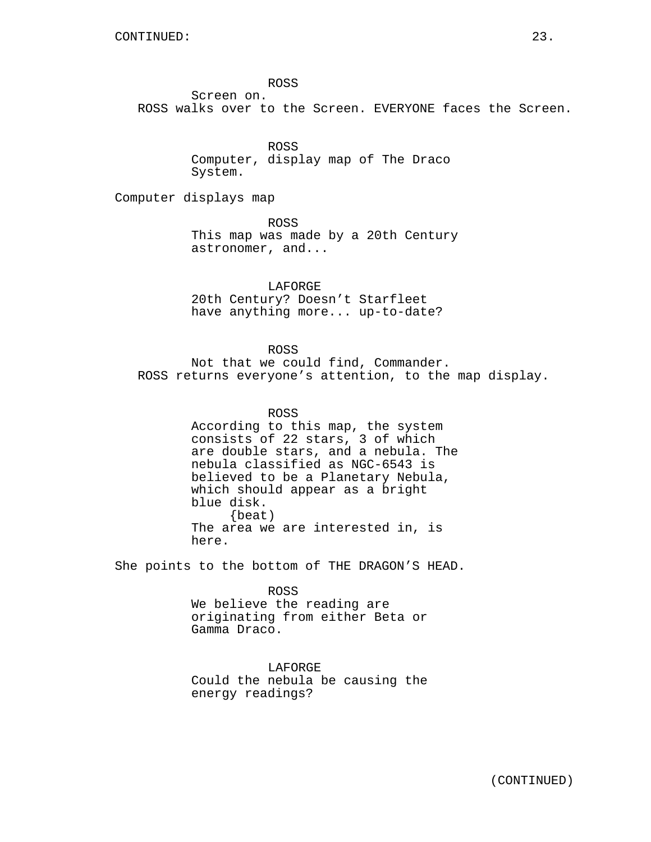ROSS

Screen on. ROSS walks over to the Screen. EVERYONE faces the Screen.

> ROSS Computer, display map of The Draco System.

Computer displays map

ROSS This map was made by a 20th Century astronomer, and...

LAFORGE 20th Century? Doesn't Starfleet have anything more... up-to-date?

## ROSS

Not that we could find, Commander. ROSS returns everyone's attention, to the map display.

ROSS

According to this map, the system consists of 22 stars, 3 of which are double stars, and a nebula. The nebula classified as NGC-6543 is believed to be a Planetary Nebula, which should appear as a bright blue disk. {beat) The area we are interested in, is here.

She points to the bottom of THE DRAGON'S HEAD.

ROSS We believe the reading are originating from either Beta or Gamma Draco.

LAFORGE Could the nebula be causing the energy readings?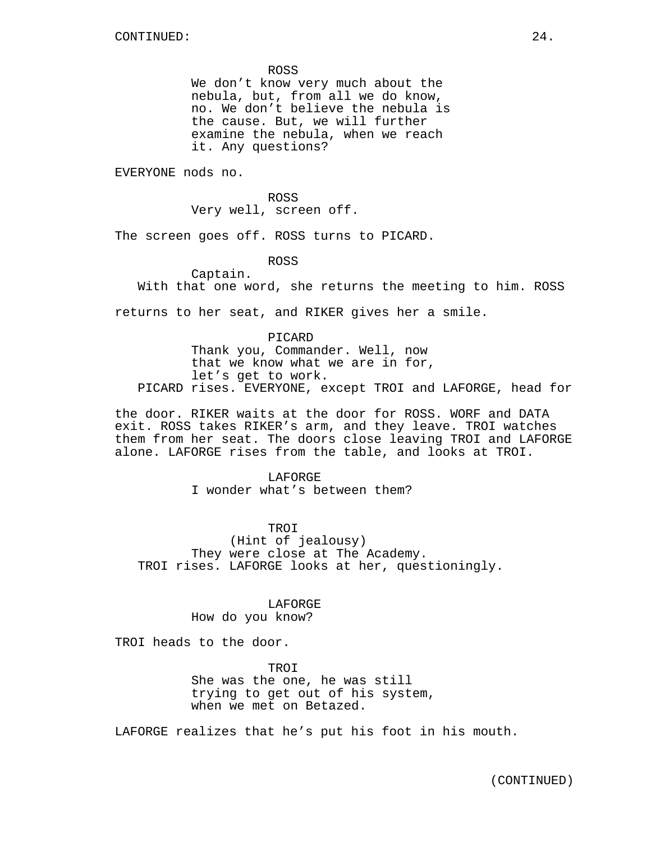ROSS

We don't know very much about the nebula, but, from all we do know, no. We don't believe the nebula is the cause. But, we will further examine the nebula, when we reach it. Any questions?

EVERYONE nods no.

ROSS Very well, screen off.

The screen goes off. ROSS turns to PICARD.

ROSS

Captain.

With that one word, she returns the meeting to him. ROSS

returns to her seat, and RIKER gives her a smile.

PICARD Thank you, Commander. Well, now that we know what we are in for, let's get to work. PICARD rises. EVERYONE, except TROI and LAFORGE, head for

the door. RIKER waits at the door for ROSS. WORF and DATA exit. ROSS takes RIKER's arm, and they leave. TROI watches them from her seat. The doors close leaving TROI and LAFORGE alone. LAFORGE rises from the table, and looks at TROI.

> LAFORGE I wonder what's between them?

#### TROI

(Hint of jealousy) They were close at The Academy. TROI rises. LAFORGE looks at her, questioningly.

## LAFORGE

## How do you know?

TROI heads to the door.

TROI She was the one, he was still trying to get out of his system, when we met on Betazed.

LAFORGE realizes that he's put his foot in his mouth.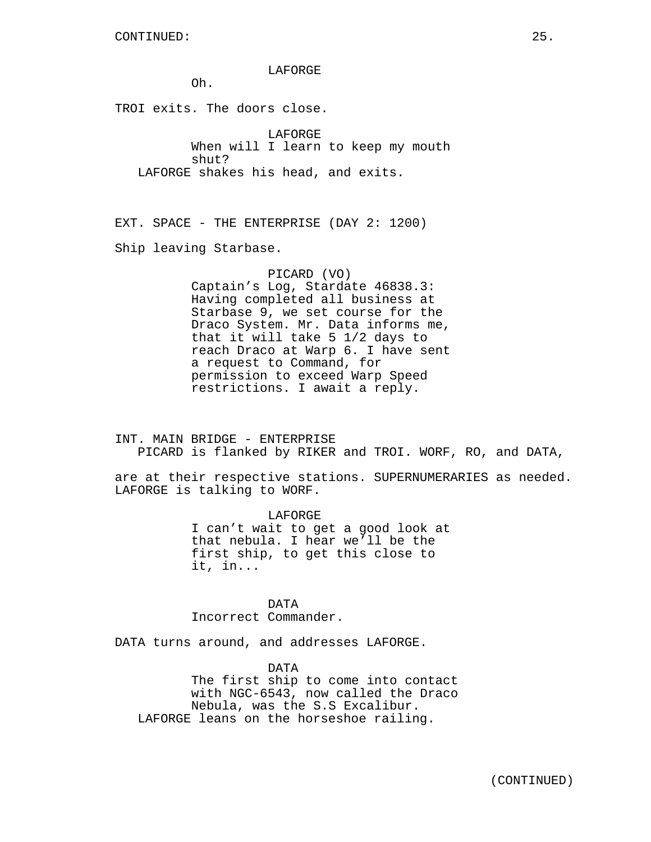LAFORGE

Oh.

TROI exits. The doors close.

LAFORGE When will I learn to keep my mouth shut? LAFORGE shakes his head, and exits.

EXT. SPACE - THE ENTERPRISE (DAY 2: 1200) Ship leaving Starbase.

> PICARD (VO) Captain's Log, Stardate 46838.3: Having completed all business at Starbase 9, we set course for the Draco System. Mr. Data informs me, that it will take 5 1/2 days to reach Draco at Warp 6. I have sent a request to Command, for permission to exceed Warp Speed restrictions. I await a reply.

INT. MAIN BRIDGE - ENTERPRISE PICARD is flanked by RIKER and TROI. WORF, RO, and DATA,

are at their respective stations. SUPERNUMERARIES as needed. LAFORGE is talking to WORF.

> LAFORGE I can't wait to get a good look at that nebula. I hear we'll be the first ship, to get this close to it, in...

DATA Incorrect Commander.

DATA turns around, and addresses LAFORGE.

DATA The first ship to come into contact with NGC-6543, now called the Draco Nebula, was the S.S Excalibur. LAFORGE leans on the horseshoe railing.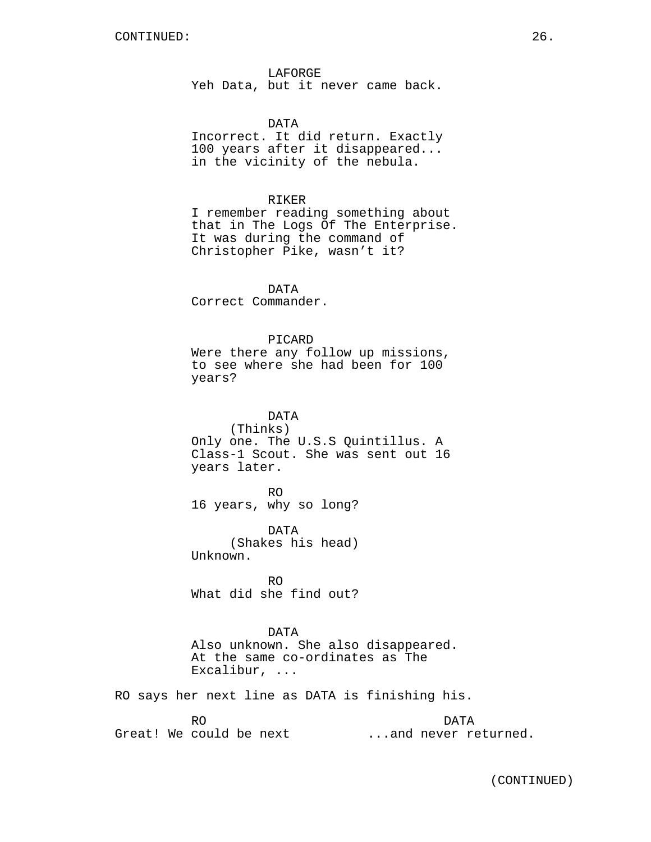LAFORGE Yeh Data, but it never came back.

#### DATA

Incorrect. It did return. Exactly 100 years after it disappeared... in the vicinity of the nebula.

## RIKER

I remember reading something about that in The Logs Of The Enterprise. It was during the command of Christopher Pike, wasn't it?

DATA Correct Commander.

## PICARD

Were there any follow up missions, to see where she had been for 100 years?

DATA (Thinks) Only one. The U.S.S Quintillus. A Class-1 Scout. She was sent out 16 years later.

RO 16 years, why so long?

DATA (Shakes his head) Unknown.

RO What did she find out?

#### DATA

Also unknown. She also disappeared. At the same co-ordinates as The Excalibur, ...

RO says her next line as DATA is finishing his.

RO Great! We could be next DATA ...and never returned.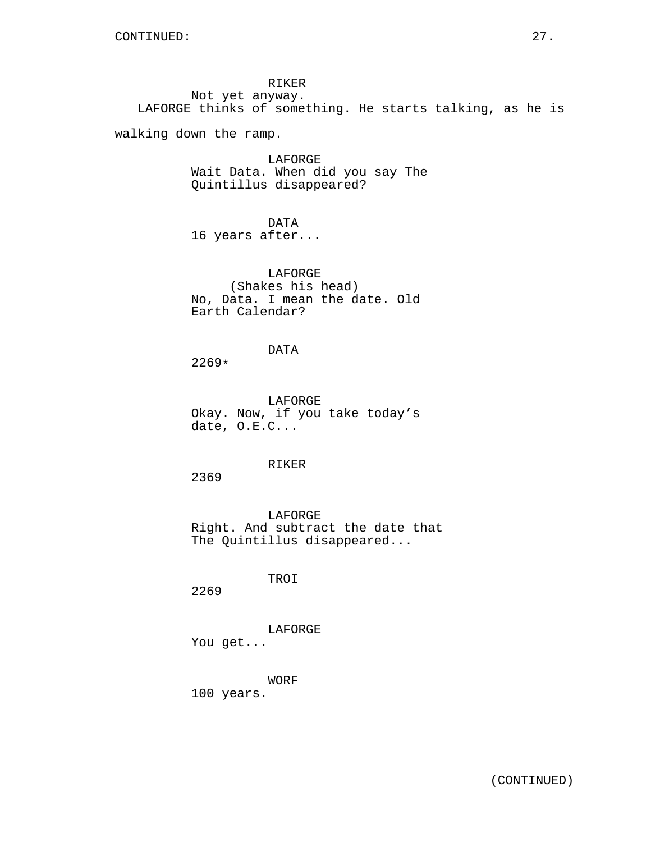RIKER Not yet anyway. LAFORGE thinks of something. He starts talking, as he is

walking down the ramp.

LAFORGE Wait Data. When did you say The Quintillus disappeared?

DATA 16 years after...

LAFORGE (Shakes his head) No, Data. I mean the date. Old Earth Calendar?

# DATA

2269\*

LAFORGE Okay. Now, if you take today's date, O.E.C...

## RIKER

2369

LAFORGE Right. And subtract the date that The Quintillus disappeared...

TROI

2269

LAFORGE You get...

WORF

100 years.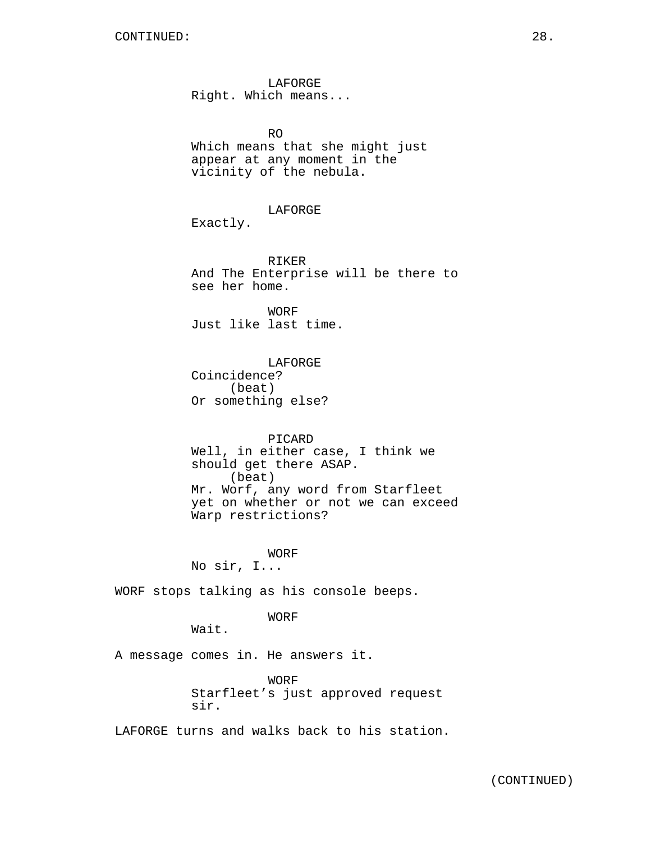LAFORGE Right. Which means...

RO Which means that she might just appear at any moment in the vicinity of the nebula.

LAFORGE

Exactly.

RIKER And The Enterprise will be there to see her home.

WORF Just like last time.

LAFORGE Coincidence? (beat) Or something else?

#### PICARD

Well, in either case, I think we should get there ASAP. (beat) Mr. Worf, any word from Starfleet yet on whether or not we can exceed Warp restrictions?

**WORF** No sir, I...

WORF stops talking as his console beeps.

WORF

Wait.

A message comes in. He answers it.

WORF Starfleet's just approved request sir.

LAFORGE turns and walks back to his station.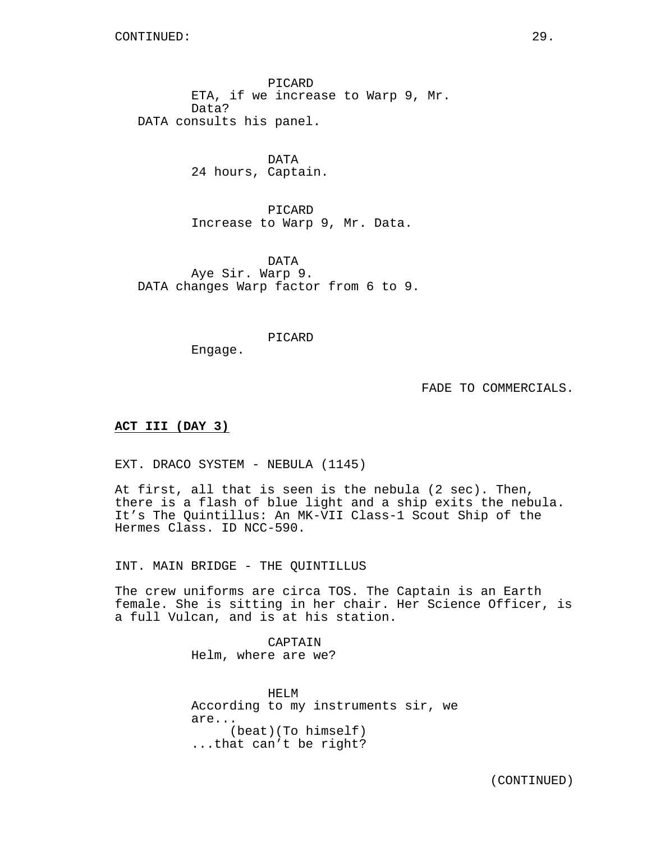CONTINUED: 29.

PICARD ETA, if we increase to Warp 9, Mr. Data? DATA consults his panel.

> DATA 24 hours, Captain.

PICARD Increase to Warp 9, Mr. Data.

DATA Aye Sir. Warp 9. DATA changes Warp factor from 6 to 9.

PICARD

Engage.

FADE TO COMMERCIALS.

#### **ACT III (DAY 3)**

EXT. DRACO SYSTEM - NEBULA (1145)

At first, all that is seen is the nebula (2 sec). Then, there is a flash of blue light and a ship exits the nebula. It's The Quintillus: An MK-VII Class-1 Scout Ship of the Hermes Class. ID NCC-590.

INT. MAIN BRIDGE - THE QUINTILLUS

The crew uniforms are circa TOS. The Captain is an Earth female. She is sitting in her chair. Her Science Officer, is a full Vulcan, and is at his station.

> CAPTAIN Helm, where are we?

HELM According to my instruments sir, we are... (beat)(To himself) ...that can't be right?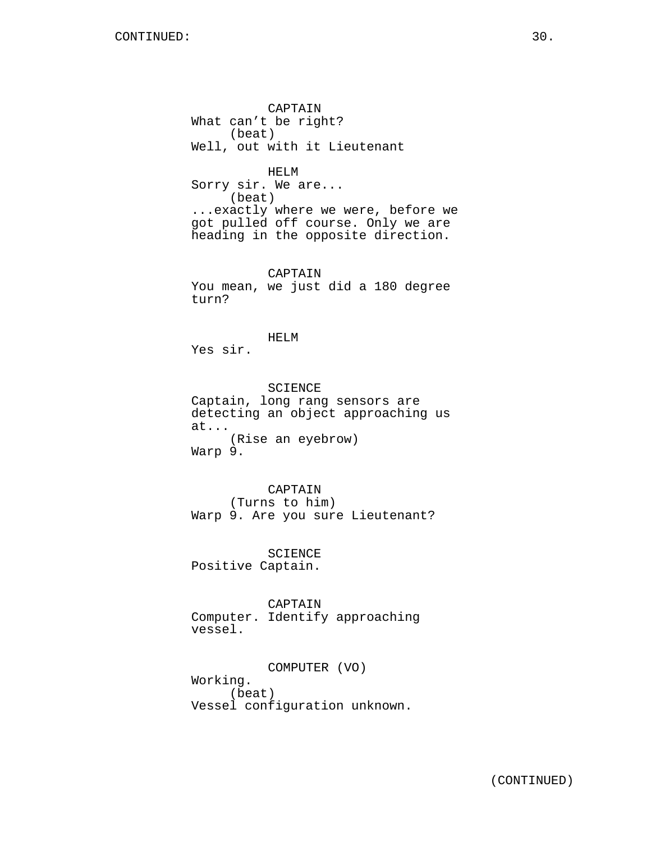CAPTAIN What can't be right? (beat) Well, out with it Lieutenant

HELM Sorry sir. We are... (beat) ...exactly where we were, before we got pulled off course. Only we are heading in the opposite direction.

CAPTAIN You mean, we just did a 180 degree turn?

HELM Yes sir.

SCIENCE Captain, long rang sensors are detecting an object approaching us at... (Rise an eyebrow) Warp 9.

CAPTAIN (Turns to him) Warp 9. Are you sure Lieutenant?

SCIENCE Positive Captain.

CAPTAIN

Computer. Identify approaching vessel.

COMPUTER (VO) Working. (beat) Vessel configuration unknown.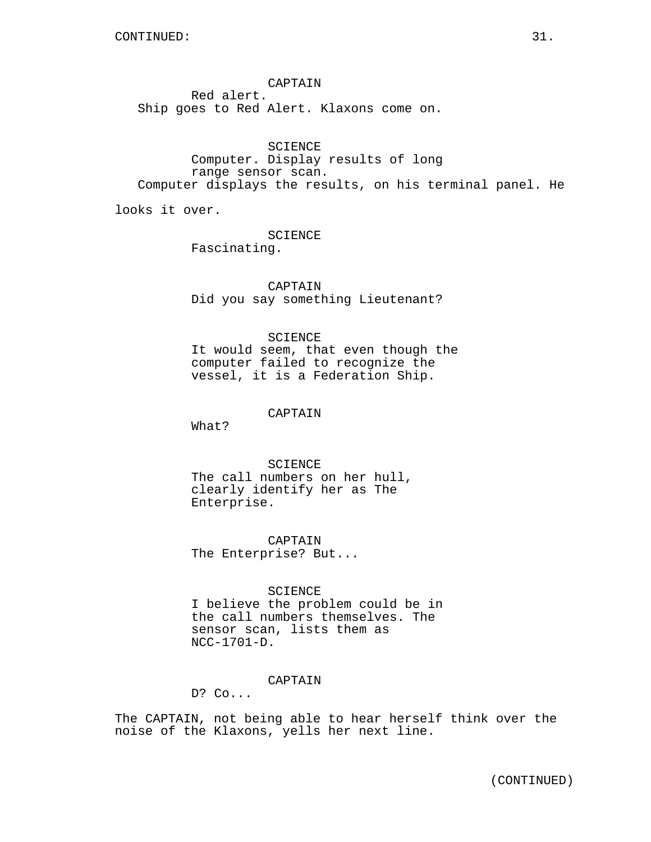CAPTAIN Red alert. Ship goes to Red Alert. Klaxons come on.

SCIENCE Computer. Display results of long range sensor scan. Computer displays the results, on his terminal panel. He

looks it over.

SCIENCE Fascinating.

CAPTAIN Did you say something Lieutenant?

# SCIENCE

It would seem, that even though the computer failed to recognize the vessel, it is a Federation Ship.

## CAPTAIN

What?

SCIENCE. The call numbers on her hull, clearly identify her as The Enterprise.

CAPTAIN The Enterprise? But...

SCIENCE

I believe the problem could be in the call numbers themselves. The sensor scan, lists them as NCC-1701-D.

## CAPTAIN

D? Co...

The CAPTAIN, not being able to hear herself think over the noise of the Klaxons, yells her next line.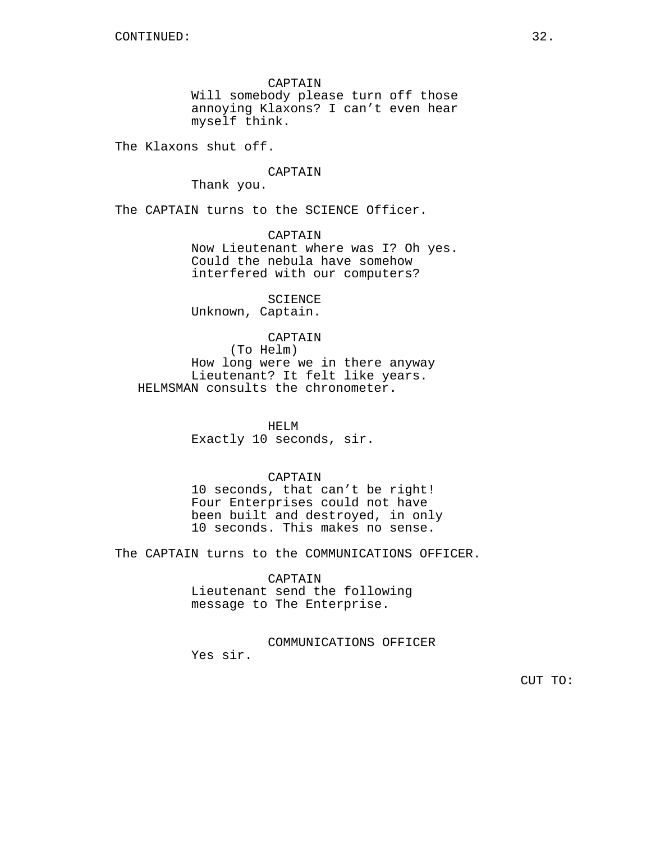CAPTAIN Will somebody please turn off those annoying Klaxons? I can't even hear myself think.

The Klaxons shut off.

## CAPTAIN

Thank you.

The CAPTAIN turns to the SCIENCE Officer.

CAPTAIN Now Lieutenant where was I? Oh yes. Could the nebula have somehow interfered with our computers?

SCIENCE Unknown, Captain.

## CAPTAIN

(To Helm) How long were we in there anyway Lieutenant? It felt like years. HELMSMAN consults the chronometer.

## HELM

Exactly 10 seconds, sir.

## CAPTAIN

10 seconds, that can't be right! Four Enterprises could not have been built and destroyed, in only 10 seconds. This makes no sense.

The CAPTAIN turns to the COMMUNICATIONS OFFICER.

#### CAPTAIN

Lieutenant send the following message to The Enterprise.

COMMUNICATIONS OFFICER

Yes sir.

CUT TO: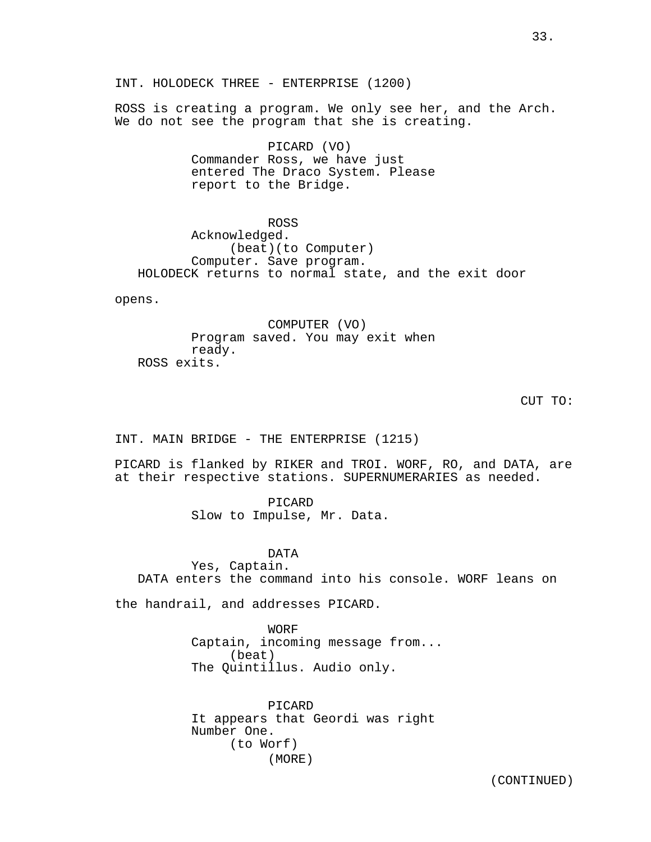ROSS is creating a program. We only see her, and the Arch. We do not see the program that she is creating.

> PICARD (VO) Commander Ross, we have just entered The Draco System. Please report to the Bridge.

ROSS Acknowledged. (beat)(to Computer) Computer. Save program. HOLODECK returns to normal state, and the exit door

opens.

COMPUTER (VO) Program saved. You may exit when ready. ROSS exits.

CUT TO:

INT. MAIN BRIDGE - THE ENTERPRISE (1215)

PICARD is flanked by RIKER and TROI. WORF, RO, and DATA, are at their respective stations. SUPERNUMERARIES as needed.

> PICARD Slow to Impulse, Mr. Data.

DATA Yes, Captain. DATA enters the command into his console. WORF leans on

the handrail, and addresses PICARD.

WORF Captain, incoming message from... (beat) The Quintillus. Audio only.

PICARD It appears that Geordi was right Number One. (to Worf) (MORE)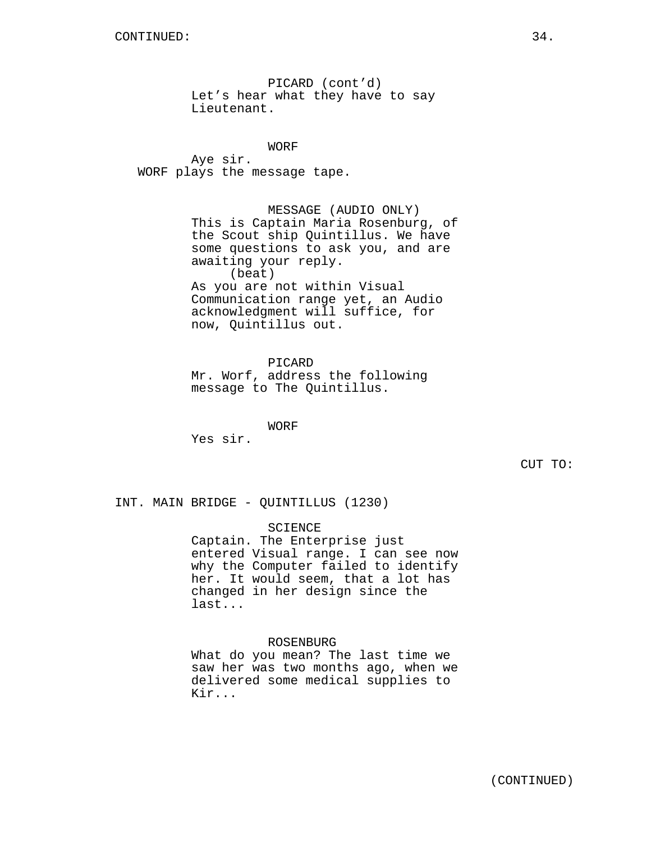PICARD (cont'd) Let's hear what they have to say Lieutenant.

WORF Aye sir. WORF plays the message tape.

> MESSAGE (AUDIO ONLY) This is Captain Maria Rosenburg, of the Scout ship Quintillus. We have some questions to ask you, and are awaiting your reply. (beat) As you are not within Visual Communication range yet, an Audio acknowledgment will suffice, for now, Quintillus out.

PICARD Mr. Worf, address the following message to The Quintillus.

WORF Yes sir.

CUT TO:

INT. MAIN BRIDGE - QUINTILLUS (1230)

#### SCIENCE

Captain. The Enterprise just entered Visual range. I can see now why the Computer failed to identify her. It would seem, that a lot has changed in her design since the last...

## ROSENBURG

What do you mean? The last time we saw her was two months ago, when we delivered some medical supplies to Kir...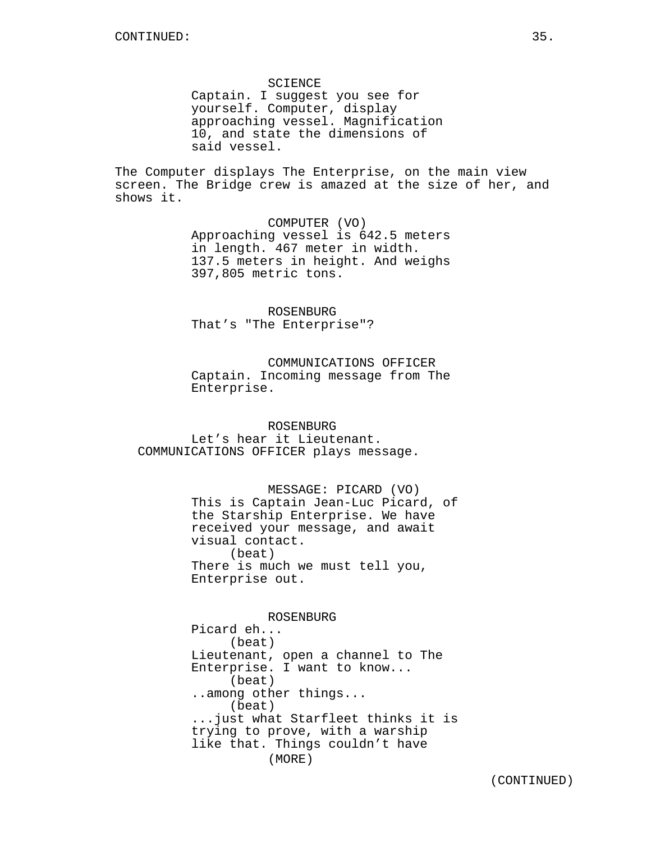SCIENCE Captain. I suggest you see for yourself. Computer, display approaching vessel. Magnification 10, and state the dimensions of said vessel.

The Computer displays The Enterprise, on the main view screen. The Bridge crew is amazed at the size of her, and shows it.

> COMPUTER (VO) Approaching vessel is 642.5 meters in length. 467 meter in width. 137.5 meters in height. And weighs 397,805 metric tons.

ROSENBURG That's "The Enterprise"?

COMMUNICATIONS OFFICER Captain. Incoming message from The Enterprise.

ROSENBURG Let's hear it Lieutenant. COMMUNICATIONS OFFICER plays message.

> MESSAGE: PICARD (VO) This is Captain Jean-Luc Picard, of the Starship Enterprise. We have received your message, and await visual contact. (beat) There is much we must tell you, Enterprise out.

> > ROSENBURG

Picard eh... (beat) Lieutenant, open a channel to The Enterprise. I want to know... (beat) ..among other things... (beat) ...just what Starfleet thinks it is trying to prove, with a warship like that. Things couldn't have (MORE)

(CONTINUED)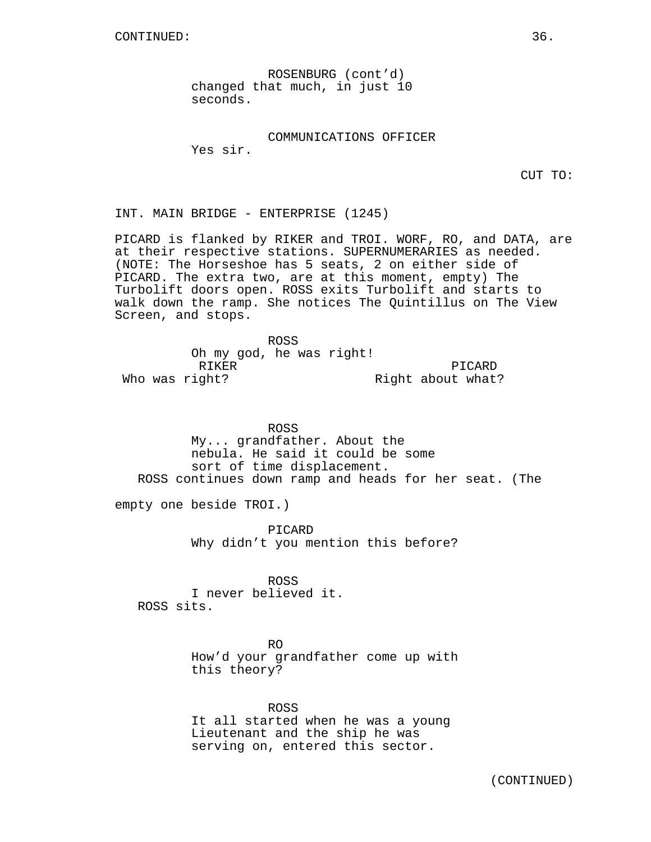ROSENBURG (cont'd) changed that much, in just 10 seconds.

COMMUNICATIONS OFFICER

Yes sir.

CUT TO:

INT. MAIN BRIDGE - ENTERPRISE (1245)

PICARD is flanked by RIKER and TROI. WORF, RO, and DATA, are at their respective stations. SUPERNUMERARIES as needed. (NOTE: The Horseshoe has 5 seats, 2 on either side of PICARD. The extra two, are at this moment, empty) The Turbolift doors open. ROSS exits Turbolift and starts to walk down the ramp. She notices The Quintillus on The View Screen, and stops.

ROSS Oh my god, he was right! RIKER Who was right? PICARD Right about what?

ROSS My... grandfather. About the nebula. He said it could be some sort of time displacement. ROSS continues down ramp and heads for her seat. (The

empty one beside TROI.)

PICARD Why didn't you mention this before?

ROSS I never believed it. ROSS sits.

> RO How'd your grandfather come up with this theory?

ROSS It all started when he was a young Lieutenant and the ship he was serving on, entered this sector.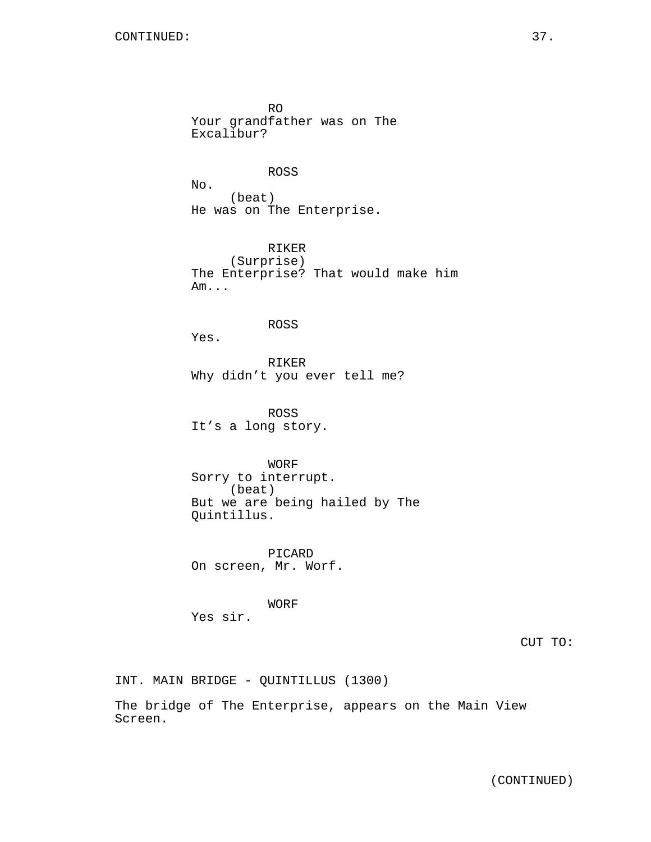RO Your grandfather was on The Excalibur?

#### ROSS

No. (beat) He was on The Enterprise.

RIKER (Surprise) The Enterprise? That would make him Am...

#### ROSS

Yes.

RIKER Why didn't you ever tell me?

ROSS It's a long story.

WORF Sorry to interrupt. (beat) But we are being hailed by The Quintillus.

PICARD On screen, Mr. Worf.

WORF Yes sir.

CUT TO:

INT. MAIN BRIDGE - QUINTILLUS (1300)

The bridge of The Enterprise, appears on the Main View Screen.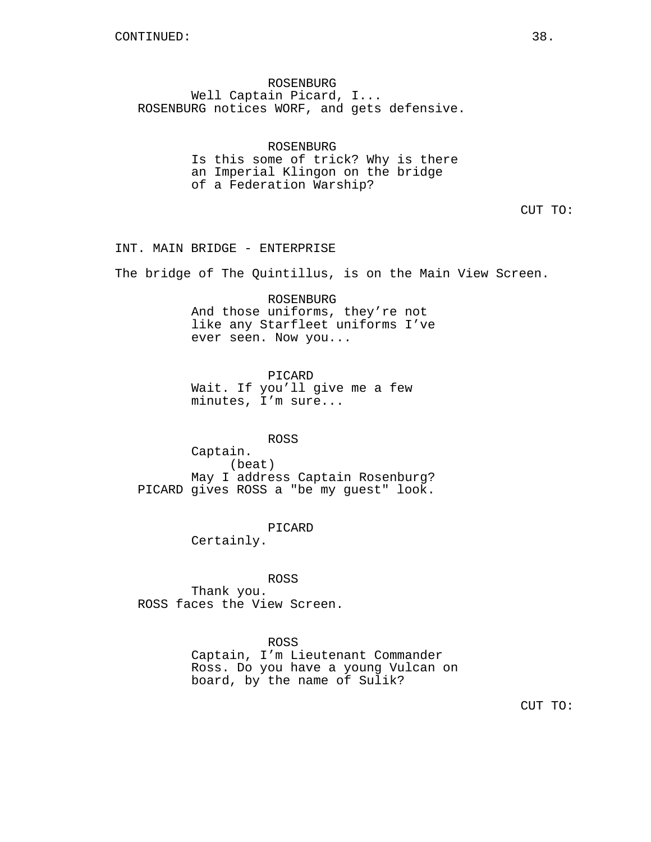ROSENBURG Well Captain Picard, I... ROSENBURG notices WORF, and gets defensive.

> ROSENBURG Is this some of trick? Why is there an Imperial Klingon on the bridge of a Federation Warship?

> > CUT TO:

#### INT. MAIN BRIDGE - ENTERPRISE

The bridge of The Quintillus, is on the Main View Screen.

ROSENBURG And those uniforms, they're not like any Starfleet uniforms I've ever seen. Now you...

PICARD Wait. If you'll give me a few minutes, I'm sure...

ROSS

Captain. (beat) May I address Captain Rosenburg? PICARD gives ROSS a "be my guest" look.

PICARD

Certainly.

ROSS Thank you. ROSS faces the View Screen.

ROSS

Captain, I'm Lieutenant Commander Ross. Do you have a young Vulcan on board, by the name of Sulik?

CUT TO: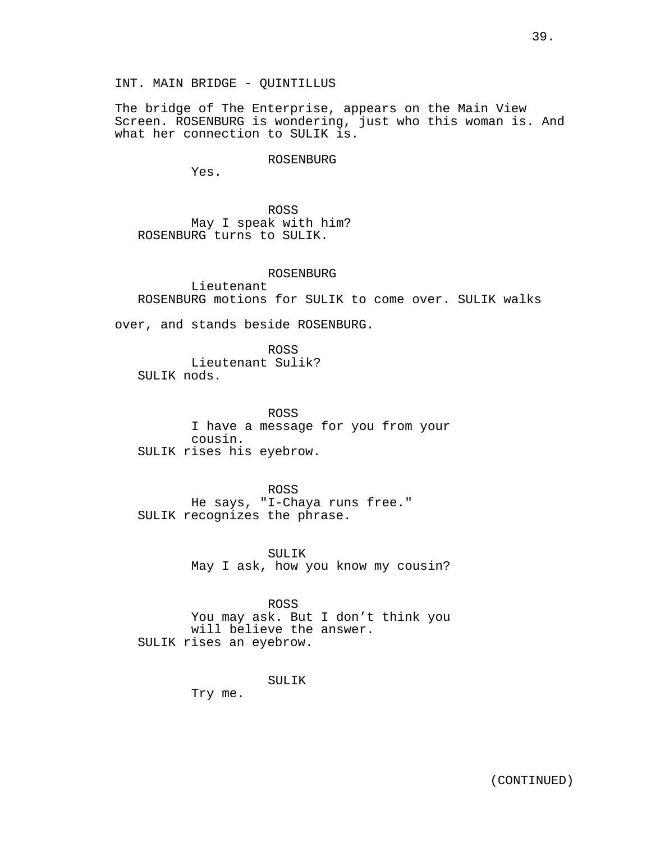INT. MAIN BRIDGE - QUINTILLUS

The bridge of The Enterprise, appears on the Main View Screen. ROSENBURG is wondering, just who this woman is. And what her connection to SULIK is.

ROSENBURG

Yes.

ROSS May I speak with him? ROSENBURG turns to SULIK.

ROSENBURG Lieutenant ROSENBURG motions for SULIK to come over. SULIK walks

over, and stands beside ROSENBURG.

ROSS Lieutenant Sulik? SULIK nods.

ROSS I have a message for you from your cousin. SULIK rises his eyebrow.

ROSS He says, "I-Chaya runs free." SULIK recognizes the phrase.

> SULIK May I ask, how you know my cousin?

ROSS You may ask. But I don't think you will believe the answer. SULIK rises an eyebrow.

SULIK

Try me.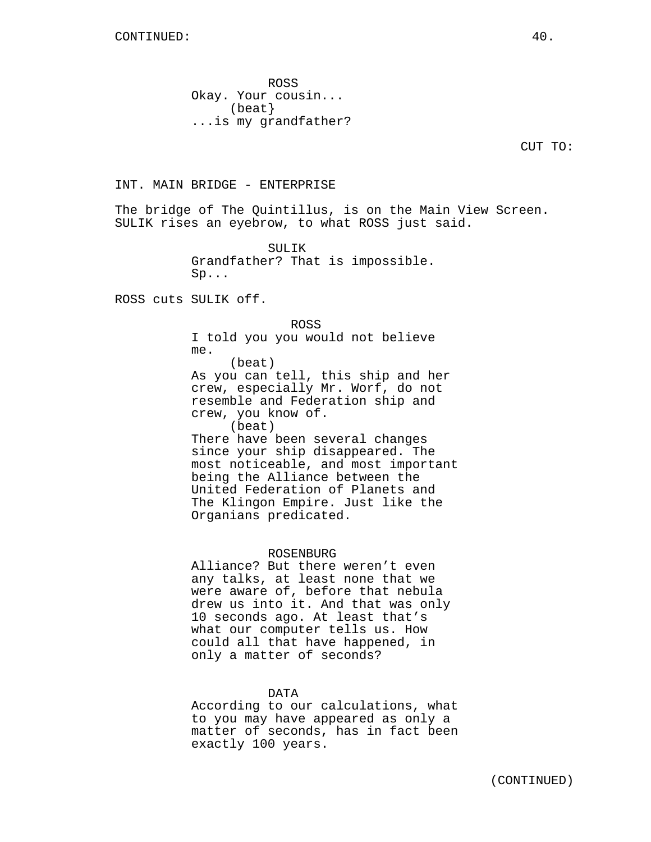ROSS Okay. Your cousin... (beat} ...is my grandfather?

CUT TO:

#### INT. MAIN BRIDGE - ENTERPRISE

The bridge of The Quintillus, is on the Main View Screen. SULIK rises an eyebrow, to what ROSS just said.

> SULIK Grandfather? That is impossible. Sp...

ROSS cuts SULIK off.

#### ROSS

I told you you would not believe me. (beat)

As you can tell, this ship and her crew, especially Mr. Worf, do not resemble and Federation ship and crew, you know of. (beat)

There have been several changes since your ship disappeared. The most noticeable, and most important being the Alliance between the United Federation of Planets and The Klingon Empire. Just like the Organians predicated.

#### ROSENBURG

Alliance? But there weren't even any talks, at least none that we were aware of, before that nebula drew us into it. And that was only 10 seconds ago. At least that's what our computer tells us. How could all that have happened, in only a matter of seconds?

#### DATA

According to our calculations, what to you may have appeared as only a matter of seconds, has in fact been exactly 100 years.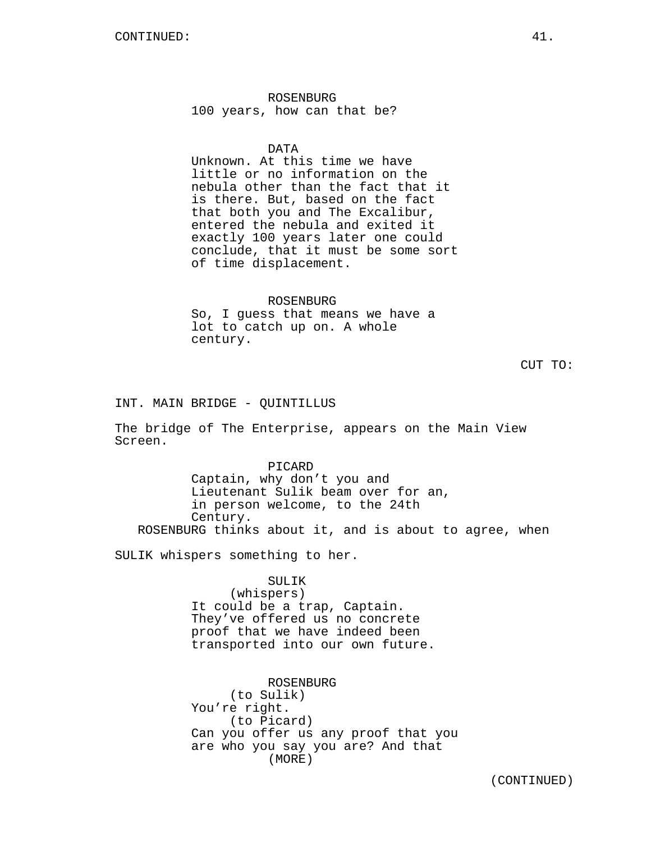ROSENBURG 100 years, how can that be?

#### DATA

Unknown. At this time we have little or no information on the nebula other than the fact that it is there. But, based on the fact that both you and The Excalibur, entered the nebula and exited it exactly 100 years later one could conclude, that it must be some sort of time displacement.

#### ROSENBURG

So, I guess that means we have a lot to catch up on. A whole century.

CUT TO:

INT. MAIN BRIDGE - QUINTILLUS

The bridge of The Enterprise, appears on the Main View Screen.

PICARD Captain, why don't you and Lieutenant Sulik beam over for an, in person welcome, to the 24th Century. ROSENBURG thinks about it, and is about to agree, when

SULIK whispers something to her.

#### SULIK

(whispers) It could be a trap, Captain. They've offered us no concrete proof that we have indeed been transported into our own future.

ROSENBURG (to Sulik) You're right. (to Picard) Can you offer us any proof that you are who you say you are? And that (MORE)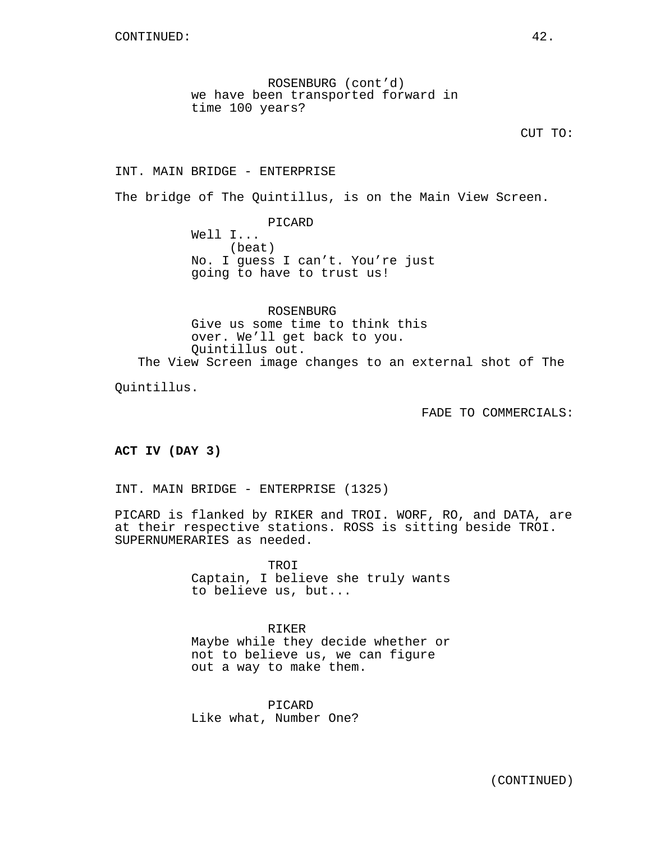ROSENBURG (cont'd) we have been transported forward in time 100 years?

CUT TO:

## INT. MAIN BRIDGE - ENTERPRISE

The bridge of The Quintillus, is on the Main View Screen.

PICARD Well I... (beat) No. I guess I can't. You're just going to have to trust us!

ROSENBURG Give us some time to think this over. We'll get back to you. Quintillus out. The View Screen image changes to an external shot of The

Quintillus.

FADE TO COMMERCIALS:

**ACT IV (DAY 3)**

INT. MAIN BRIDGE - ENTERPRISE (1325)

PICARD is flanked by RIKER and TROI. WORF, RO, and DATA, are at their respective stations. ROSS is sitting beside TROI. SUPERNUMERARIES as needed.

> TROI Captain, I believe she truly wants to believe us, but...

> RIKER Maybe while they decide whether or not to believe us, we can figure out a way to make them.

PICARD Like what, Number One?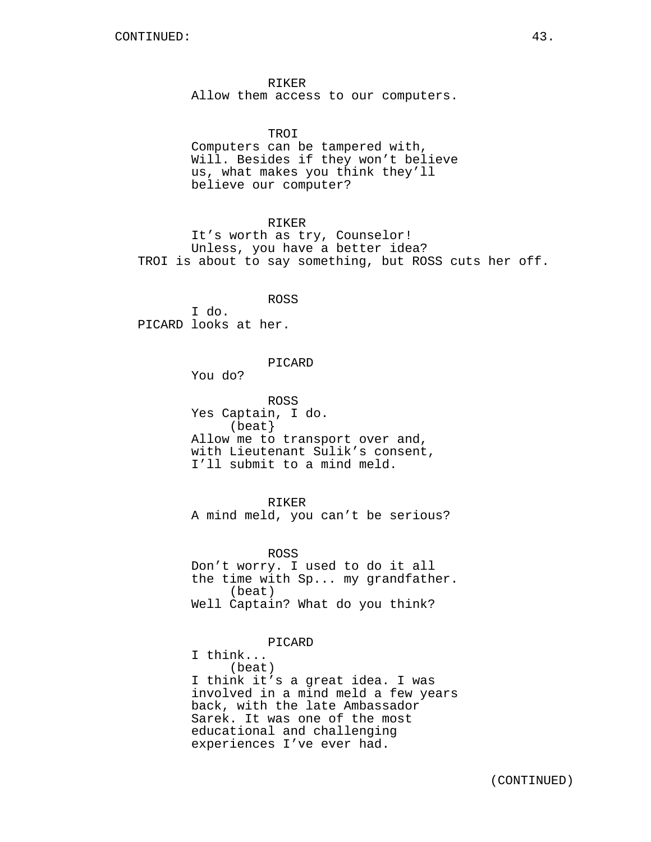RIKER Allow them access to our computers.

TROI

Computers can be tampered with, Will. Besides if they won't believe us, what makes you think they'll believe our computer?

RIKER

It's worth as try, Counselor! Unless, you have a better idea? TROI is about to say something, but ROSS cuts her off.

ROSS I do. PICARD looks at her.

PICARD

You do?

ROSS Yes Captain, I do. (beat} Allow me to transport over and, with Lieutenant Sulik's consent, I'll submit to a mind meld.

RIKER A mind meld, you can't be serious?

ROSS Don't worry. I used to do it all the time with Sp... my grandfather. (beat) Well Captain? What do you think?

PICARD

I think... (beat) I think it's a great idea. I was involved in a mind meld a few years back, with the late Ambassador Sarek. It was one of the most educational and challenging experiences I've ever had.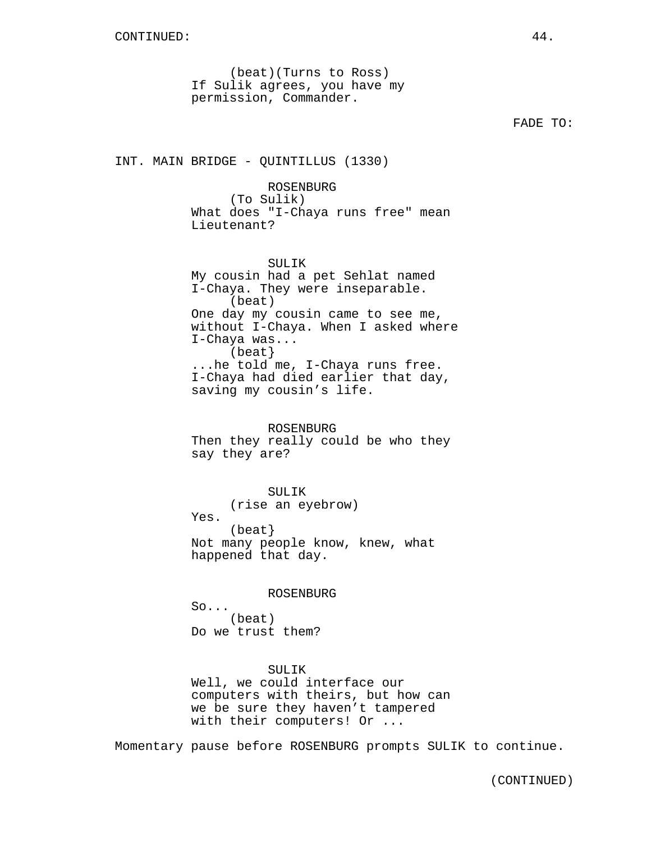(beat)(Turns to Ross) If Sulik agrees, you have my permission, Commander.

FADE TO:

INT. MAIN BRIDGE - QUINTILLUS (1330)

ROSENBURG (To Sulik) What does "I-Chaya runs free" mean Lieutenant?

SULIK My cousin had a pet Sehlat named I-Chaya. They were inseparable. (beat) One day my cousin came to see me, without I-Chaya. When I asked where I-Chaya was... (beat} ...he told me, I-Chaya runs free. I-Chaya had died earlier that day, saving my cousin's life.

ROSENBURG Then they really could be who they say they are?

SULIK (rise an eyebrow) Yes. (beat} Not many people know, knew, what happened that day.

ROSENBURG

So... (beat) Do we trust them?

SULIK Well, we could interface our computers with theirs, but how can we be sure they haven't tampered with their computers! Or ...

Momentary pause before ROSENBURG prompts SULIK to continue.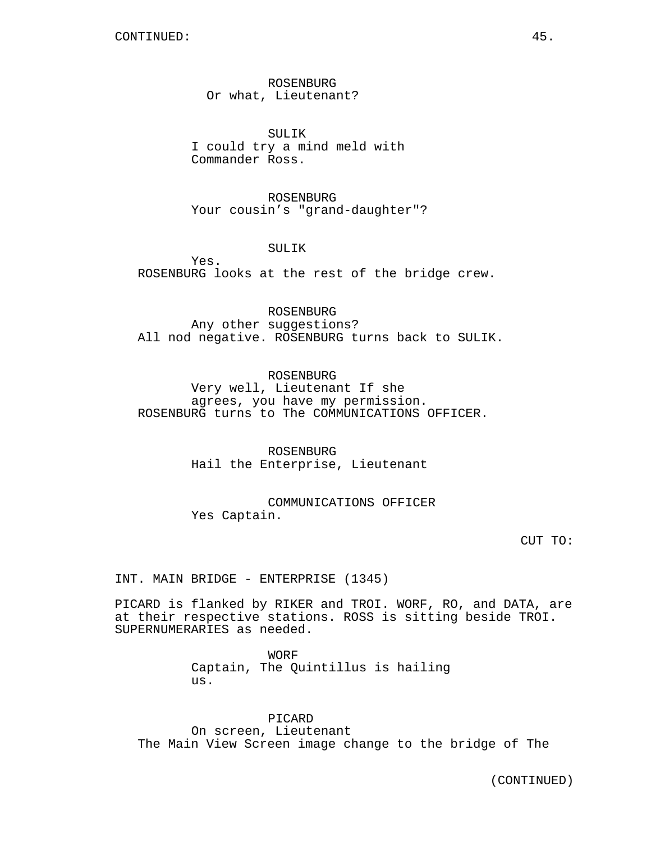ROSENBURG Or what, Lieutenant?

SULIK I could try a mind meld with Commander Ross.

ROSENBURG Your cousin's "grand-daughter"?

SULIK

Yes. ROSENBURG looks at the rest of the bridge crew.

ROSENBURG Any other suggestions? All nod negative. ROSENBURG turns back to SULIK.

ROSENBURG Very well, Lieutenant If she agrees, you have my permission. ROSENBURG turns to The COMMUNICATIONS OFFICER.

> ROSENBURG Hail the Enterprise, Lieutenant

COMMUNICATIONS OFFICER Yes Captain.

CUT TO:

INT. MAIN BRIDGE - ENTERPRISE (1345)

PICARD is flanked by RIKER and TROI. WORF, RO, and DATA, are at their respective stations. ROSS is sitting beside TROI. SUPERNUMERARIES as needed.

> WORF Captain, The Quintillus is hailing us.

> > PICARD

On screen, Lieutenant The Main View Screen image change to the bridge of The

(CONTINUED)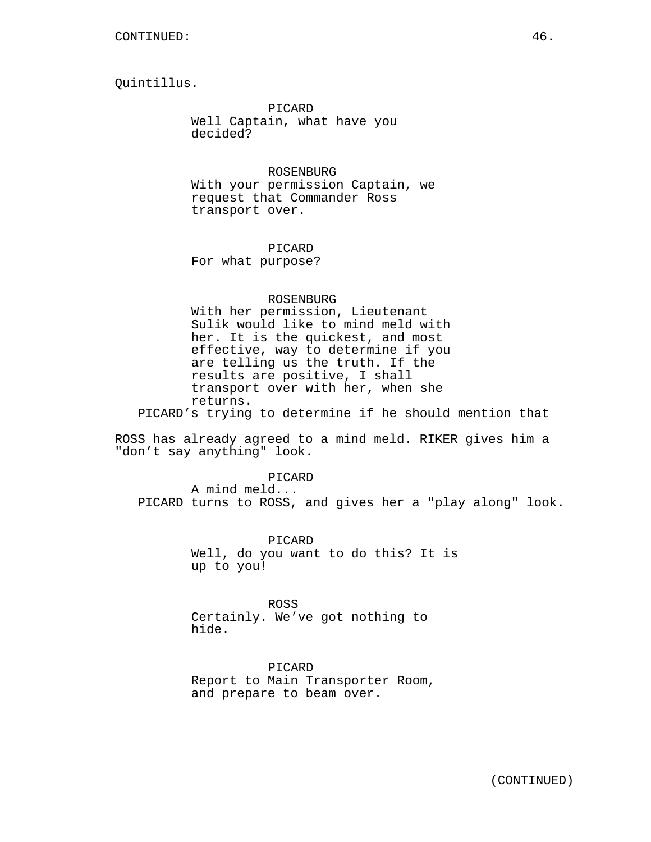Quintillus.

PICARD Well Captain, what have you decided?

ROSENBURG With your permission Captain, we request that Commander Ross transport over.

PICARD For what purpose?

#### ROSENBURG

With her permission, Lieutenant Sulik would like to mind meld with her. It is the quickest, and most effective, way to determine if you are telling us the truth. If the results are positive, I shall transport over with her, when she returns.

PICARD's trying to determine if he should mention that

ROSS has already agreed to a mind meld. RIKER gives him a "don't say anything" look.

PICARD A mind meld... PICARD turns to ROSS, and gives her a "play along" look.

> PICARD Well, do you want to do this? It is up to you!

ROSS Certainly. We've got nothing to hide.

PICARD Report to Main Transporter Room, and prepare to beam over.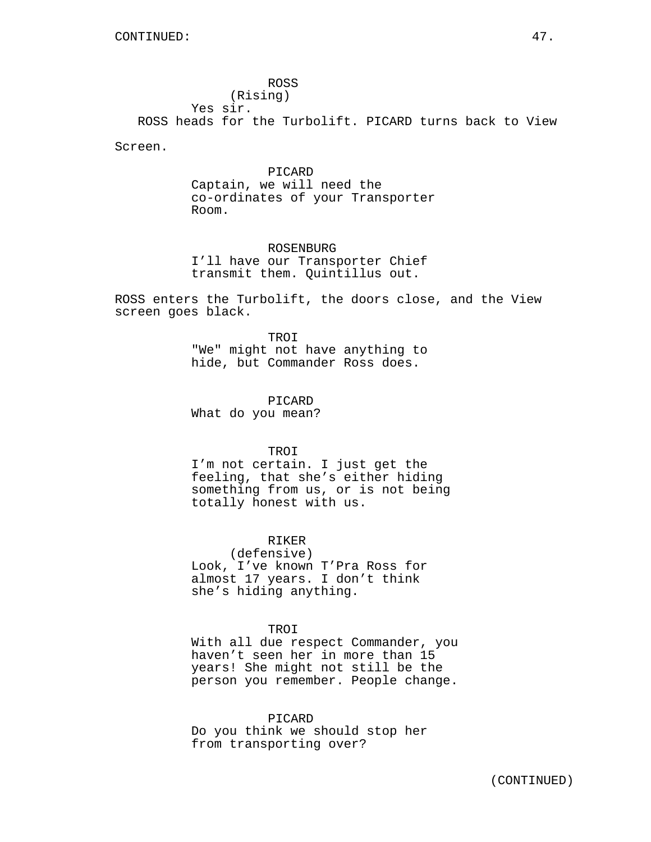ROSS (Rising) Yes sir. ROSS heads for the Turbolift. PICARD turns back to View

Screen.

PICARD Captain, we will need the co-ordinates of your Transporter Room.

ROSENBURG I'll have our Transporter Chief transmit them. Quintillus out.

ROSS enters the Turbolift, the doors close, and the View screen goes black.

> TROI "We" might not have anything to hide, but Commander Ross does.

PICARD What do you mean?

TROI

I'm not certain. I just get the feeling, that she's either hiding something from us, or is not being totally honest with us.

## RIKER

(defensive) Look, I've known T'Pra Ross for almost 17 years. I don't think she's hiding anything.

#### TROI

With all due respect Commander, you haven't seen her in more than 15 years! She might not still be the person you remember. People change.

#### PICARD

Do you think we should stop her from transporting over?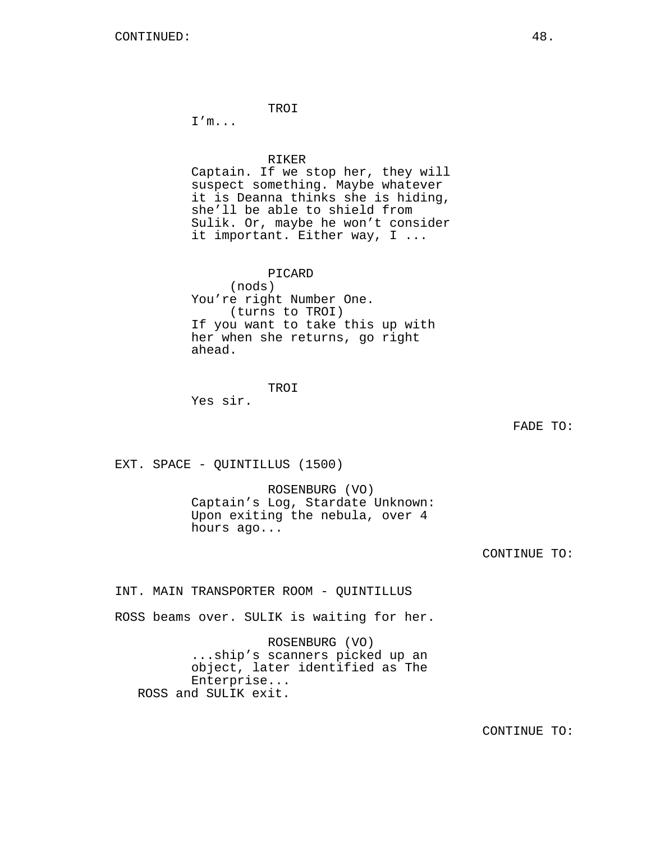TROI

I'm...

#### RIKER

Captain. If we stop her, they will suspect something. Maybe whatever it is Deanna thinks she is hiding, she'll be able to shield from Sulik. Or, maybe he won't consider it important. Either way, I ...

PICARD

(nods) You're right Number One. (turns to TROI) If you want to take this up with her when she returns, go right ahead.

TROI

Yes sir.

FADE TO:

EXT. SPACE - QUINTILLUS (1500)

ROSENBURG (VO) Captain's Log, Stardate Unknown: Upon exiting the nebula, over 4 hours ago...

CONTINUE TO:

INT. MAIN TRANSPORTER ROOM - QUINTILLUS

ROSS beams over. SULIK is waiting for her.

ROSENBURG (VO) ...ship's scanners picked up an object, later identified as The Enterprise... ROSS and SULIK exit.

CONTINUE TO: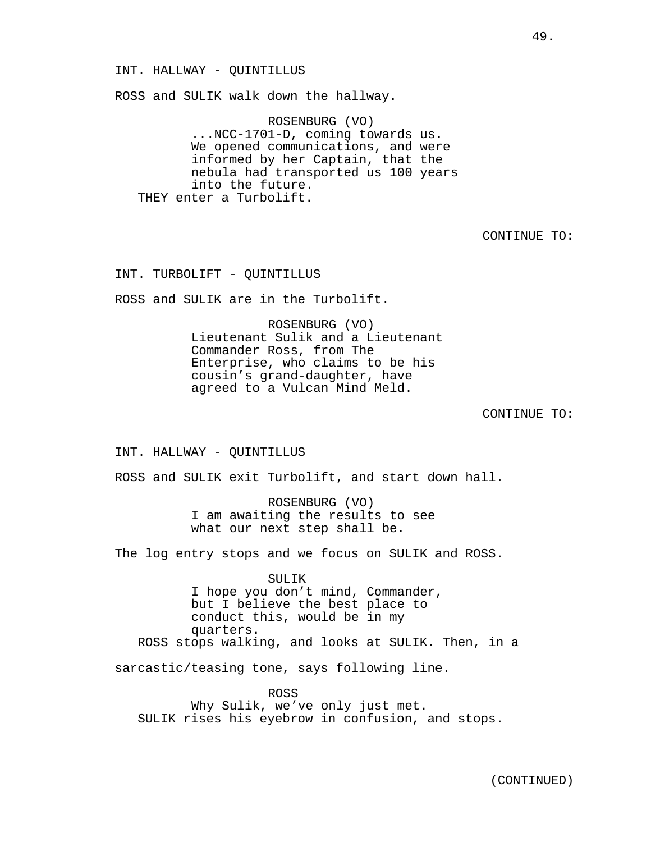ROSS and SULIK walk down the hallway.

ROSENBURG (VO) ...NCC-1701-D, coming towards us. We opened communications, and were informed by her Captain, that the nebula had transported us 100 years into the future. THEY enter a Turbolift.

CONTINUE TO:

INT. TURBOLIFT - QUINTILLUS

ROSS and SULIK are in the Turbolift.

ROSENBURG (VO) Lieutenant Sulik and a Lieutenant Commander Ross, from The Enterprise, who claims to be his cousin's grand-daughter, have agreed to a Vulcan Mind Meld.

CONTINUE TO:

INT. HALLWAY - QUINTILLUS

ROSS and SULIK exit Turbolift, and start down hall.

ROSENBURG (VO) I am awaiting the results to see what our next step shall be.

The log entry stops and we focus on SULIK and ROSS.

SULIK I hope you don't mind, Commander, but I believe the best place to conduct this, would be in my quarters. ROSS stops walking, and looks at SULIK. Then, in a

sarcastic/teasing tone, says following line.

ROSS Why Sulik, we've only just met. SULIK rises his eyebrow in confusion, and stops.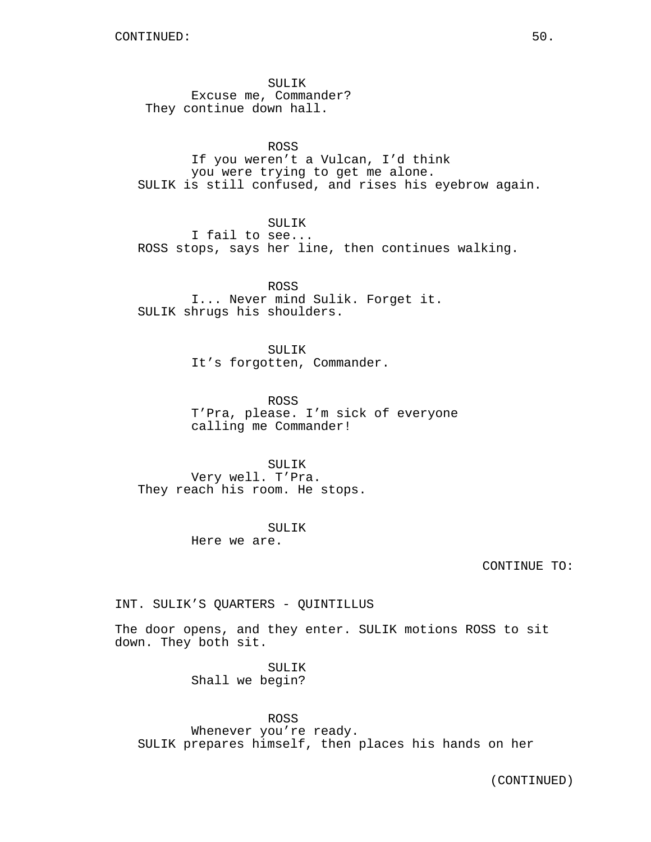SULIK Excuse me, Commander? They continue down hall.

## ROSS

If you weren't a Vulcan, I'd think you were trying to get me alone. SULIK is still confused, and rises his eyebrow again.

SULIK

I fail to see... ROSS stops, says her line, then continues walking.

ROSS I... Never mind Sulik. Forget it. SULIK shrugs his shoulders.

> SULIK It's forgotten, Commander.

ROSS T'Pra, please. I'm sick of everyone calling me Commander!

SULIK Very well. T'Pra. They reach his room. He stops.

> SULIK Here we are.

> > CONTINUE TO:

INT. SULIK'S QUARTERS - QUINTILLUS

The door opens, and they enter. SULIK motions ROSS to sit down. They both sit.

> SULIK Shall we begin?

ROSS Whenever you're ready. SULIK prepares himself, then places his hands on her

(CONTINUED)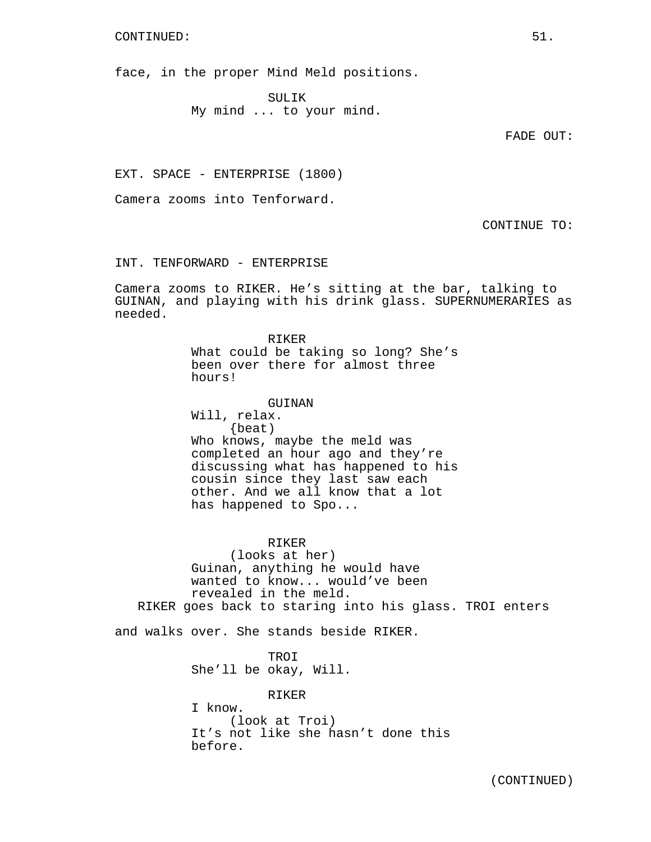#### CONTINUED: 51.

face, in the proper Mind Meld positions.

SULIK My mind ... to your mind.

FADE OUT:

EXT. SPACE - ENTERPRISE (1800)

Camera zooms into Tenforward.

CONTINUE TO:

INT. TENFORWARD - ENTERPRISE

Camera zooms to RIKER. He's sitting at the bar, talking to GUINAN, and playing with his drink glass. SUPERNUMERARIES as needed.

> RIKER What could be taking so long? She's been over there for almost three hours!

> GUINAN Will, relax. {beat) Who knows, maybe the meld was completed an hour ago and they're discussing what has happened to his cousin since they last saw each other. And we all know that a lot has happened to Spo...

## RIKER

(looks at her) Guinan, anything he would have wanted to know... would've been revealed in the meld. RIKER goes back to staring into his glass. TROI enters

and walks over. She stands beside RIKER.

**TROI** She'll be okay, Will.

RIKER I know. (look at Troi) It's not like she hasn't done this before.

(CONTINUED)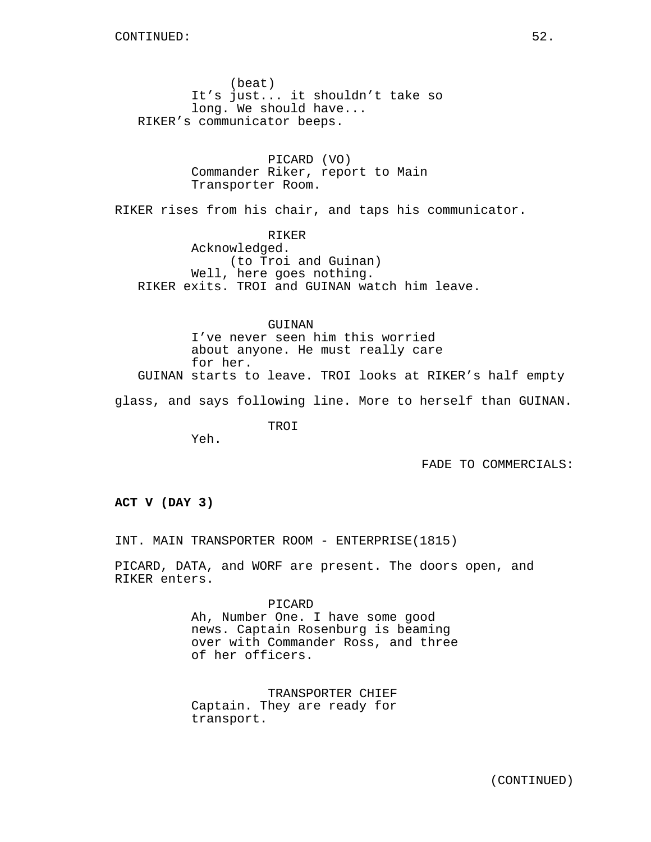(beat) It's just... it shouldn't take so long. We should have... RIKER's communicator beeps.

> PICARD (VO) Commander Riker, report to Main Transporter Room.

RIKER rises from his chair, and taps his communicator.

RIKER Acknowledged. (to Troi and Guinan) Well, here goes nothing. RIKER exits. TROI and GUINAN watch him leave.

GUINAN I've never seen him this worried about anyone. He must really care for her. GUINAN starts to leave. TROI looks at RIKER's half empty

glass, and says following line. More to herself than GUINAN.

TROI

FADE TO COMMERCIALS:

**ACT V (DAY 3)**

Yeh.

INT. MAIN TRANSPORTER ROOM - ENTERPRISE(1815)

PICARD, DATA, and WORF are present. The doors open, and RIKER enters.

> PICARD Ah, Number One. I have some good news. Captain Rosenburg is beaming over with Commander Ross, and three of her officers.

TRANSPORTER CHIEF Captain. They are ready for transport.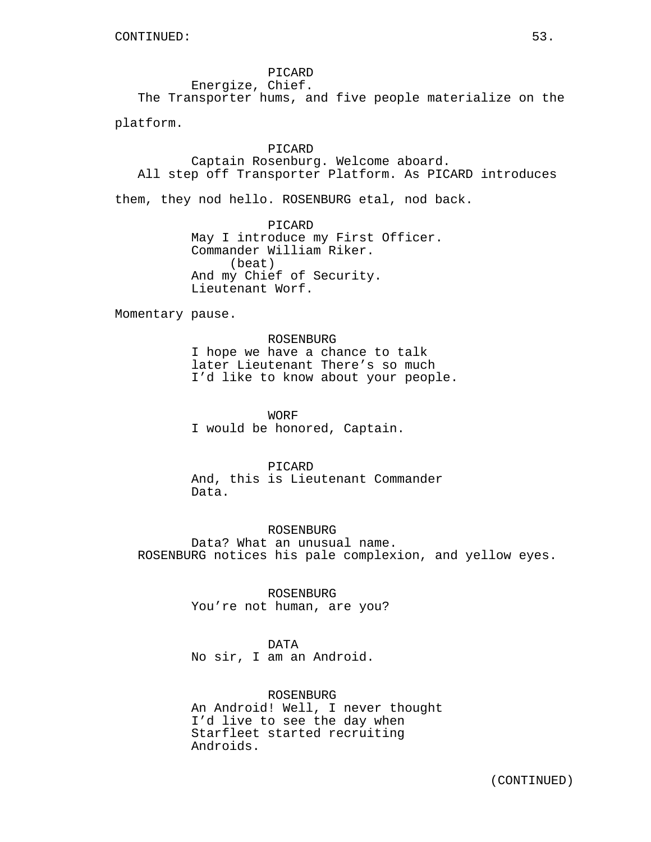PICARD Energize, Chief. The Transporter hums, and five people materialize on the

platform.

## PICARD

Captain Rosenburg. Welcome aboard. All step off Transporter Platform. As PICARD introduces

them, they nod hello. ROSENBURG etal, nod back.

PICARD May I introduce my First Officer. Commander William Riker. (beat) And my Chief of Security. Lieutenant Worf.

Momentary pause.

## ROSENBURG

I hope we have a chance to talk later Lieutenant There's so much I'd like to know about your people.

WORF I would be honored, Captain.

#### PICARD

And, this is Lieutenant Commander Data.

ROSENBURG Data? What an unusual name. ROSENBURG notices his pale complexion, and yellow eyes.

> ROSENBURG You're not human, are you?

#### DATA

No sir, I am an Android.

## ROSENBURG

An Android! Well, I never thought I'd live to see the day when Starfleet started recruiting Androids.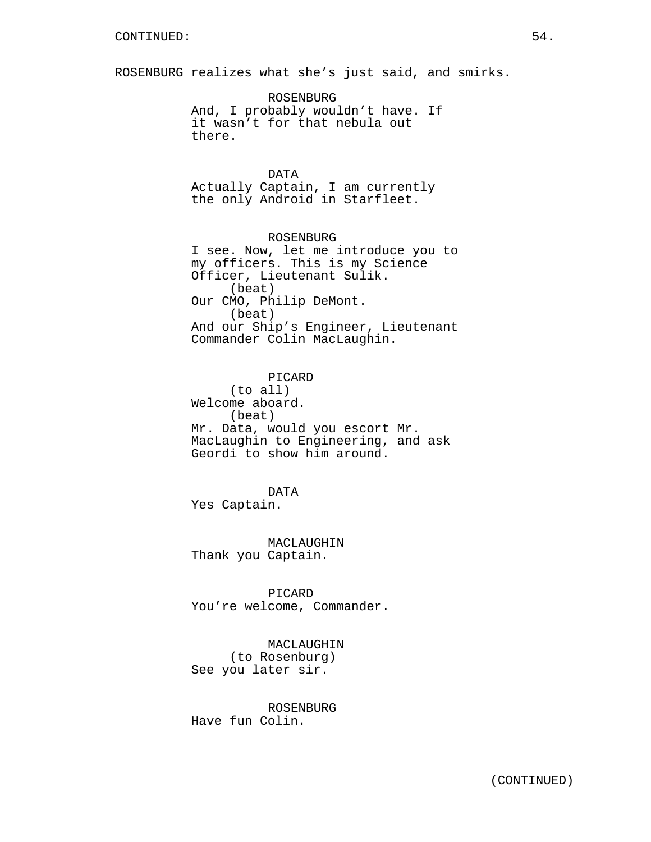ROSENBURG realizes what she's just said, and smirks.

ROSENBURG And, I probably wouldn't have. If it wasn't for that nebula out there.

DATA Actually Captain, I am currently the only Android in Starfleet.

ROSENBURG I see. Now, let me introduce you to my officers. This is my Science Officer, Lieutenant Sulik. (beat) Our CMO, Philip DeMont. (beat) And our Ship's Engineer, Lieutenant Commander Colin MacLaughin.

PICARD (to all) Welcome aboard. (beat) Mr. Data, would you escort Mr. MacLaughin to Engineering, and ask Geordi to show him around.

DATA Yes Captain.

MACLAUGHIN Thank you Captain.

PICARD You're welcome, Commander.

MACLAUGHIN (to Rosenburg) See you later sir.

ROSENBURG Have fun Colin.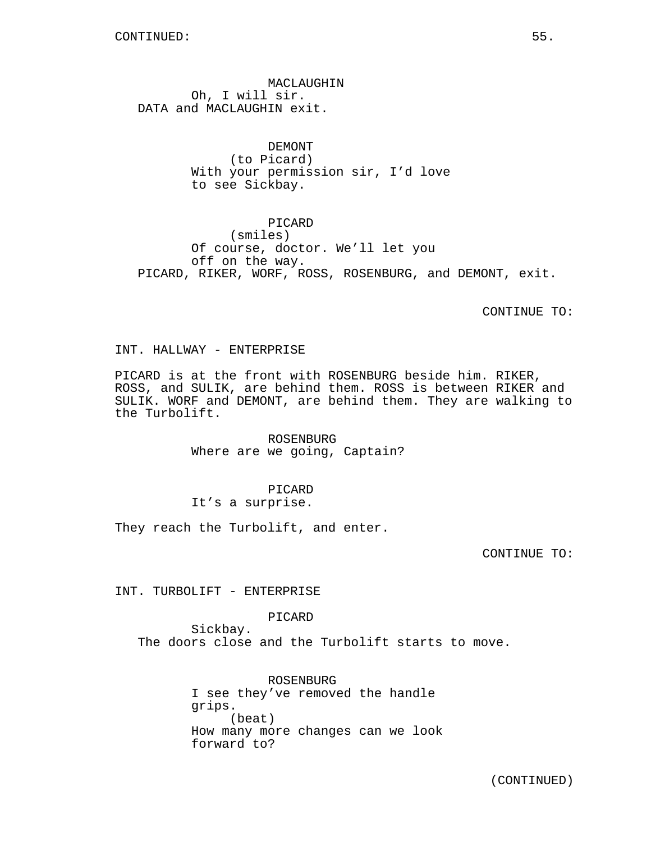MACLAUGHIN Oh, I will sir. DATA and MACLAUGHIN exit.

> DEMONT (to Picard) With your permission sir, I'd love to see Sickbay.

PICARD (smiles) Of course, doctor. We'll let you off on the way. PICARD, RIKER, WORF, ROSS, ROSENBURG, and DEMONT, exit.

CONTINUE TO:

INT. HALLWAY - ENTERPRISE

PICARD is at the front with ROSENBURG beside him. RIKER, ROSS, and SULIK, are behind them. ROSS is between RIKER and SULIK. WORF and DEMONT, are behind them. They are walking to the Turbolift.

> ROSENBURG Where are we going, Captain?

PICARD It's a surprise.

They reach the Turbolift, and enter.

CONTINUE TO:

INT. TURBOLIFT - ENTERPRISE

PICARD

Sickbay. The doors close and the Turbolift starts to move.

> ROSENBURG I see they've removed the handle grips. (beat) How many more changes can we look forward to?

(CONTINUED)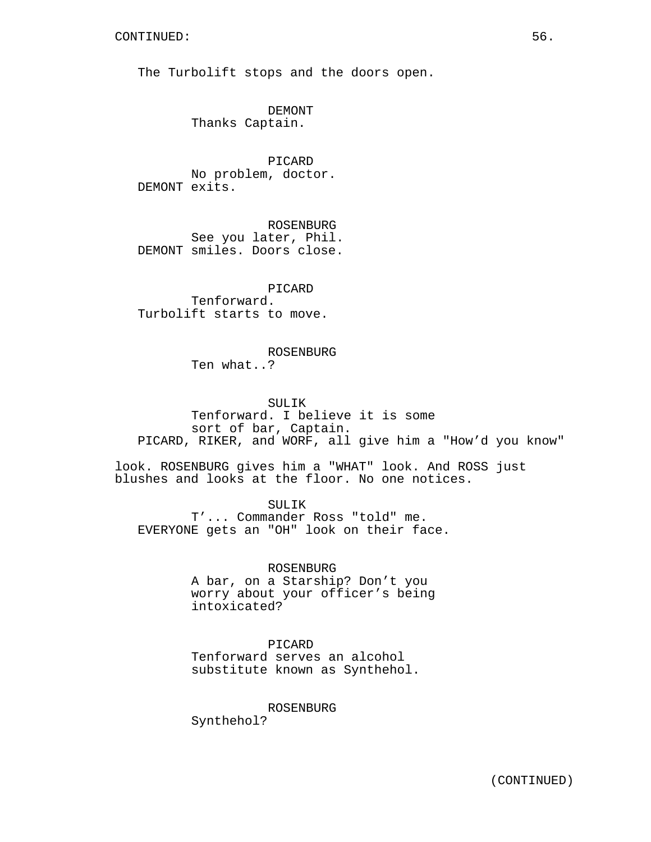The Turbolift stops and the doors open.

DEMONT Thanks Captain.

PICARD No problem, doctor. DEMONT exits.

ROSENBURG See you later, Phil. DEMONT smiles. Doors close.

PICARD Tenforward. Turbolift starts to move.

> ROSENBURG Ten what..?

## SULIK

Tenforward. I believe it is some sort of bar, Captain. PICARD, RIKER, and WORF, all give him a "How'd you know"

look. ROSENBURG gives him a "WHAT" look. And ROSS just blushes and looks at the floor. No one notices.

SULIK

T'... Commander Ross "told" me. EVERYONE gets an "OH" look on their face.

ROSENBURG

A bar, on a Starship? Don't you worry about your officer's being intoxicated?

## PICARD

Tenforward serves an alcohol substitute known as Synthehol.

ROSENBURG

Synthehol?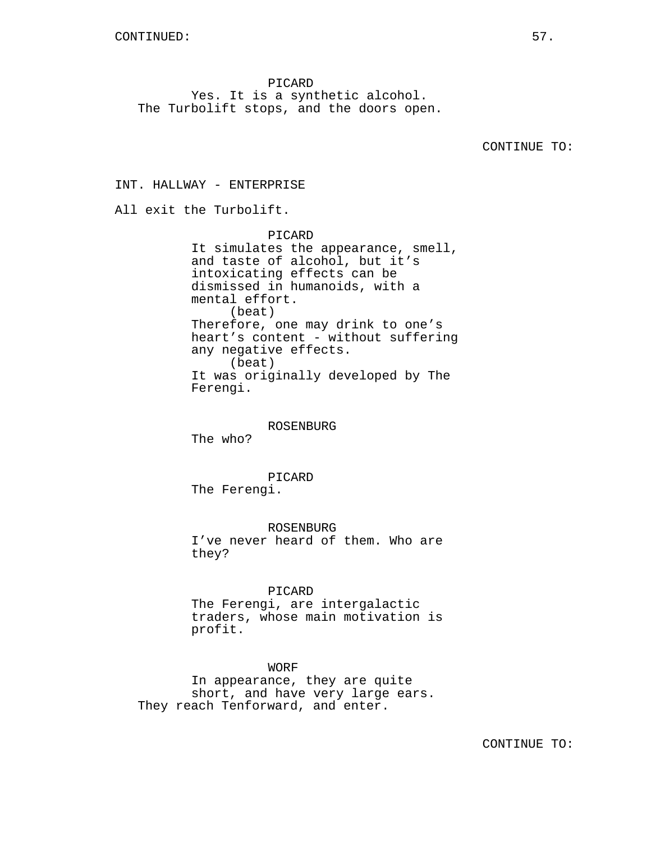PICARD Yes. It is a synthetic alcohol. The Turbolift stops, and the doors open.

CONTINUE TO:

INT. HALLWAY - ENTERPRISE All exit the Turbolift. PICARD It simulates the appearance, smell, and taste of alcohol, but it's intoxicating effects can be dismissed in humanoids, with a mental effort. (beat) Therefore, one may drink to one's heart's content - without suffering any negative effects. (beat) It was originally developed by The Ferengi. ROSENBURG The who? PICARD The Ferengi. ROSENBURG I've never heard of them. Who are they?

PICARD

The Ferengi, are intergalactic traders, whose main motivation is profit.

WORF

In appearance, they are quite short, and have very large ears. They reach Tenforward, and enter.

CONTINUE TO: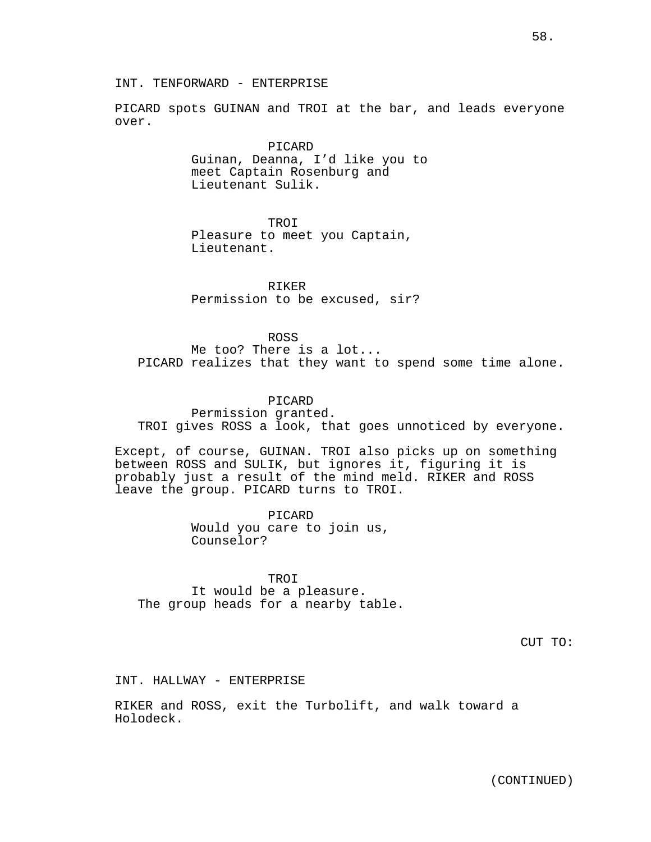INT. TENFORWARD - ENTERPRISE

PICARD spots GUINAN and TROI at the bar, and leads everyone over.

> PICARD Guinan, Deanna, I'd like you to meet Captain Rosenburg and Lieutenant Sulik.

> > TROI

Pleasure to meet you Captain, Lieutenant.

RIKER Permission to be excused, sir?

ROSS Me too? There is a lot... PICARD realizes that they want to spend some time alone.

PICARD

Permission granted. TROI gives ROSS a look, that goes unnoticed by everyone.

Except, of course, GUINAN. TROI also picks up on something between ROSS and SULIK, but ignores it, figuring it is probably just a result of the mind meld. RIKER and ROSS leave the group. PICARD turns to TROI.

> PICARD Would you care to join us, Counselor?

TROI It would be a pleasure. The group heads for a nearby table.

CUT TO:

INT. HALLWAY - ENTERPRISE

RIKER and ROSS, exit the Turbolift, and walk toward a Holodeck.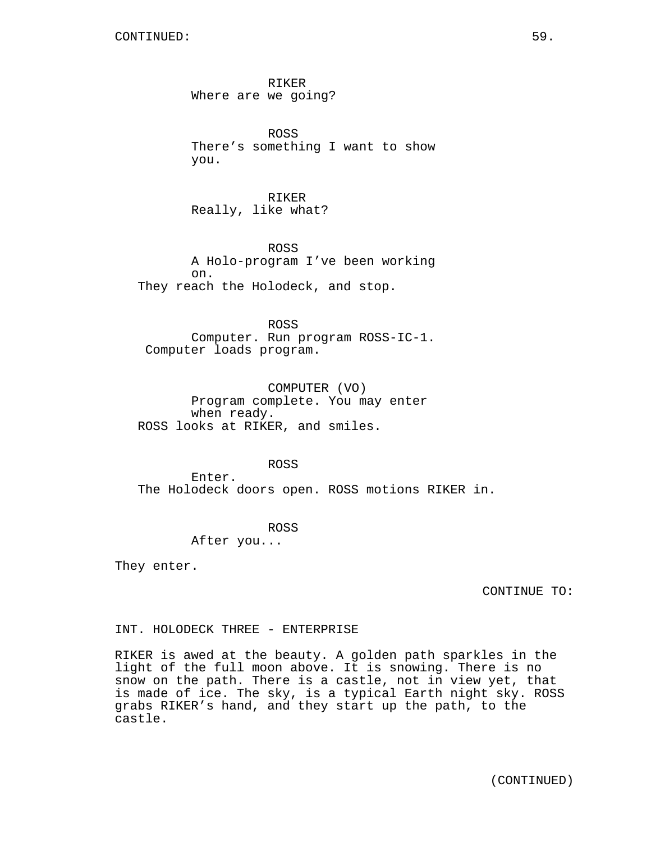RIKER Where are we going?

ROSS There's something I want to show you.

RIKER Really, like what?

ROSS A Holo-program I've been working on. They reach the Holodeck, and stop.

ROSS Computer. Run program ROSS-IC-1. Computer loads program.

COMPUTER (VO) Program complete. You may enter when ready. ROSS looks at RIKER, and smiles.

ROSS

Enter. The Holodeck doors open. ROSS motions RIKER in.

ROSS

After you...

They enter.

CONTINUE TO:

INT. HOLODECK THREE - ENTERPRISE

RIKER is awed at the beauty. A golden path sparkles in the light of the full moon above. It is snowing. There is no snow on the path. There is a castle, not in view yet, that is made of ice. The sky, is a typical Earth night sky. ROSS grabs RIKER's hand, and they start up the path, to the castle.

(CONTINUED)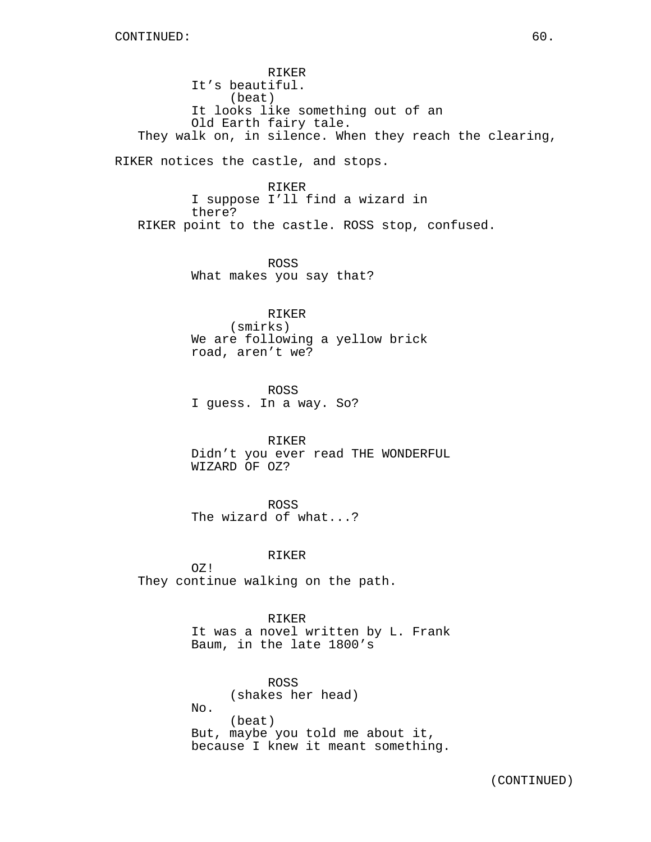RIKER It's beautiful. (beat) It looks like something out of an Old Earth fairy tale. They walk on, in silence. When they reach the clearing,

RIKER notices the castle, and stops.

RIKER I suppose I'll find a wizard in there? RIKER point to the castle. ROSS stop, confused.

> ROSS What makes you say that?

RIKER (smirks) We are following a yellow brick road, aren't we?

ROSS I guess. In a way. So?

RIKER Didn't you ever read THE WONDERFUL WIZARD OF OZ?

ROSS The wizard of what...?

## RIKER

OZ! They continue walking on the path.

> RIKER It was a novel written by L. Frank Baum, in the late 1800's

> ROSS (shakes her head) No. (beat) But, maybe you told me about it, because I knew it meant something.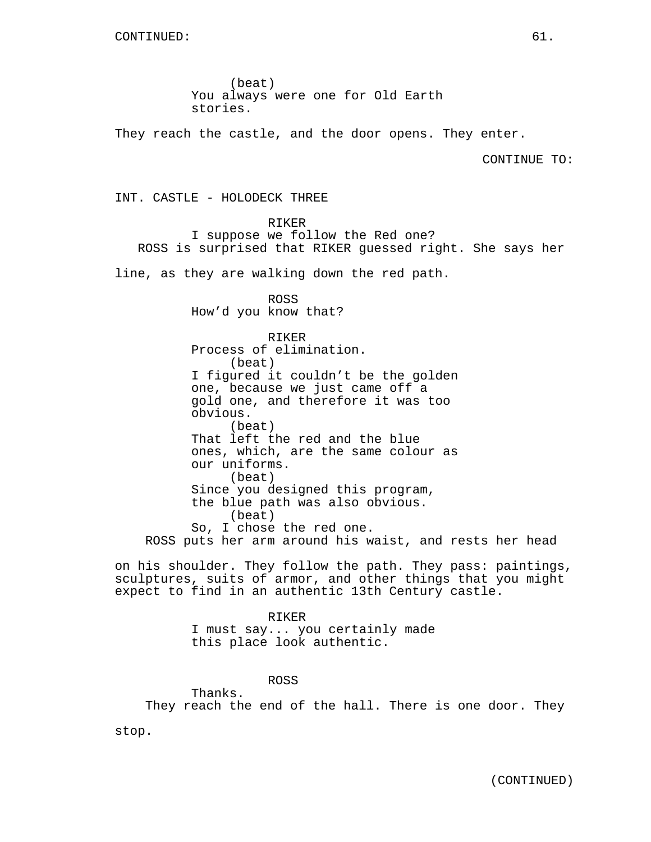(beat) You always were one for Old Earth stories.

They reach the castle, and the door opens. They enter.

CONTINUE TO:

INT. CASTLE - HOLODECK THREE

RIKER

I suppose we follow the Red one? ROSS is surprised that RIKER guessed right. She says her

line, as they are walking down the red path.

ROSS How'd you know that?

RIKER Process of elimination. (beat) I figured it couldn't be the golden one, because we just came off a gold one, and therefore it was too obvious. (beat) That left the red and the blue ones, which, are the same colour as our uniforms. (beat) Since you designed this program, the blue path was also obvious. (beat) So, I chose the red one. ROSS puts her arm around his waist, and rests her head

on his shoulder. They follow the path. They pass: paintings, sculptures, suits of armor, and other things that you might expect to find in an authentic 13th Century castle.

> RIKER I must say... you certainly made this place look authentic.

> > ROSS

Thanks. They reach the end of the hall. There is one door. They

stop.

(CONTINUED)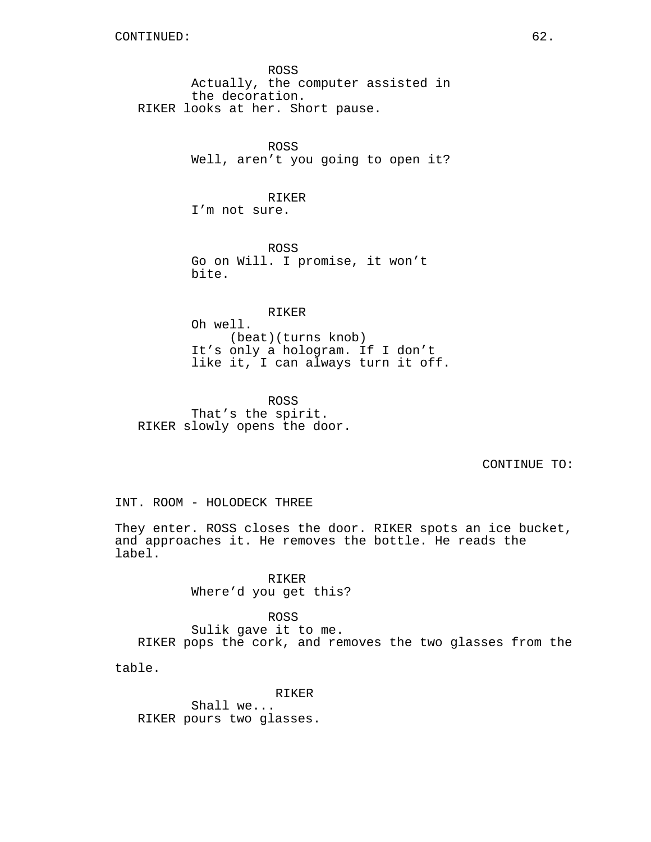ROSS Actually, the computer assisted in the decoration. RIKER looks at her. Short pause.

> ROSS Well, aren't you going to open it?

RIKER I'm not sure.

ROSS Go on Will. I promise, it won't bite.

RIKER Oh well. (beat)(turns knob) It's only a hologram. If I don't

like it, I can always turn it off.

ROSS That's the spirit. RIKER slowly opens the door.

CONTINUE TO:

INT. ROOM - HOLODECK THREE

They enter. ROSS closes the door. RIKER spots an ice bucket, and approaches it. He removes the bottle. He reads the label.

> RIKER Where'd you get this?

ROSS Sulik gave it to me. RIKER pops the cork, and removes the two glasses from the

table.

RIKER Shall we... RIKER pours two glasses.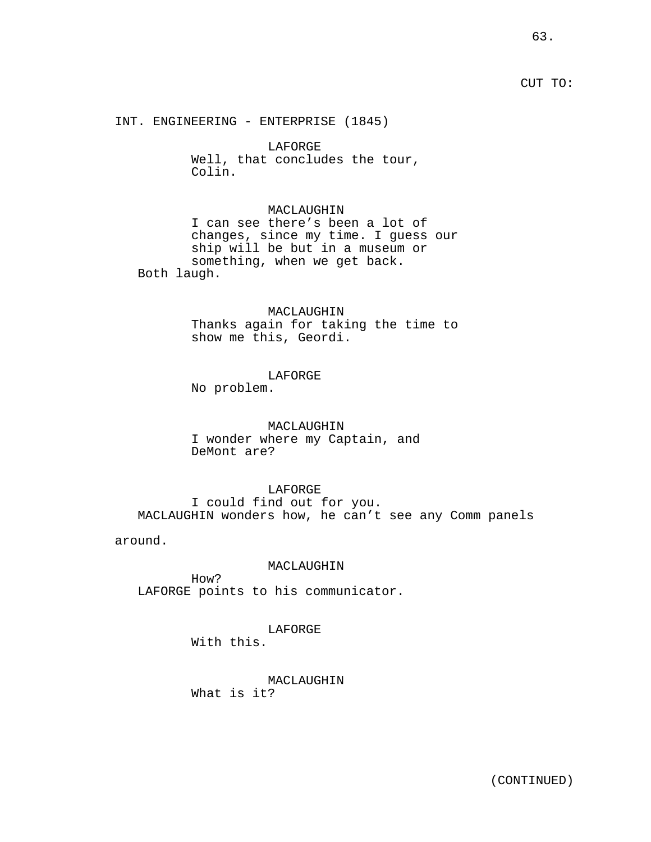## CUT TO:

INT. ENGINEERING - ENTERPRISE (1845)

LAFORGE Well, that concludes the tour, Colin.

#### MACLAUGHIN

I can see there's been a lot of changes, since my time. I guess our ship will be but in a museum or something, when we get back. Both laugh.

#### MACLAUGHIN

Thanks again for taking the time to show me this, Geordi.

## LAFORGE

No problem.

## MACLAUGHIN I wonder where my Captain, and DeMont are?

## LAFORGE I could find out for you.

MACLAUGHIN wonders how, he can't see any Comm panels

around.

#### MACLAUGHIN

How? LAFORGE points to his communicator.

# LAFORGE

With this.

# MACLAUGHIN

What is it?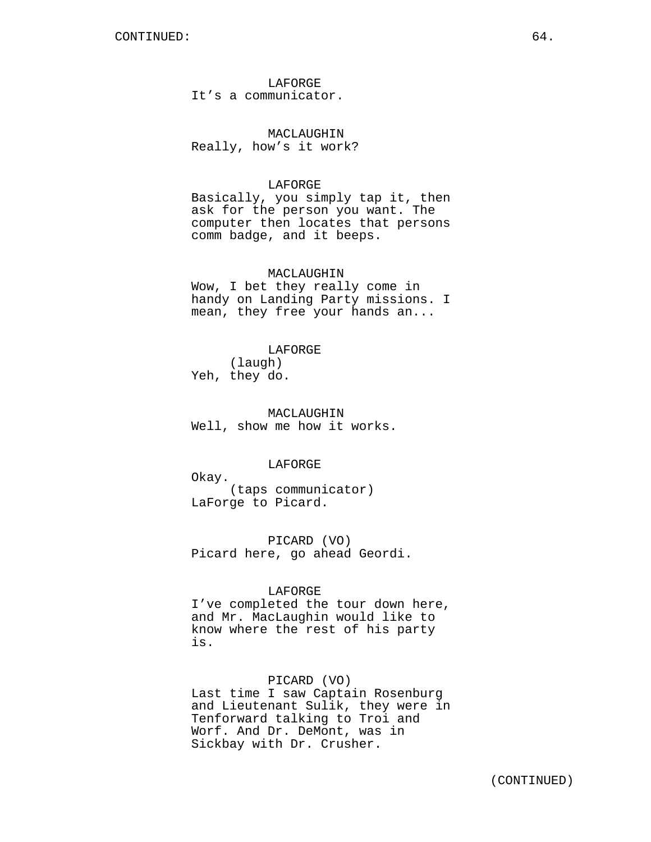LAFORGE It's a communicator.

MACLAUGHIN Really, how's it work?

#### LAFORGE

Basically, you simply tap it, then ask for the person you want. The computer then locates that persons comm badge, and it beeps.

#### MACLAUGHIN

Wow, I bet they really come in handy on Landing Party missions. I mean, they free your hands an...

#### LAFORGE

(laugh) Yeh, they do.

MACLAUGHIN Well, show me how it works.

## LAFORGE

Okay. (taps communicator) LaForge to Picard.

PICARD (VO) Picard here, go ahead Geordi.

#### LAFORGE

I've completed the tour down here, and Mr. MacLaughin would like to know where the rest of his party is.

#### PICARD (VO)

Last time I saw Captain Rosenburg and Lieutenant Sulik, they were in Tenforward talking to Troi and Worf. And Dr. DeMont, was in Sickbay with Dr. Crusher.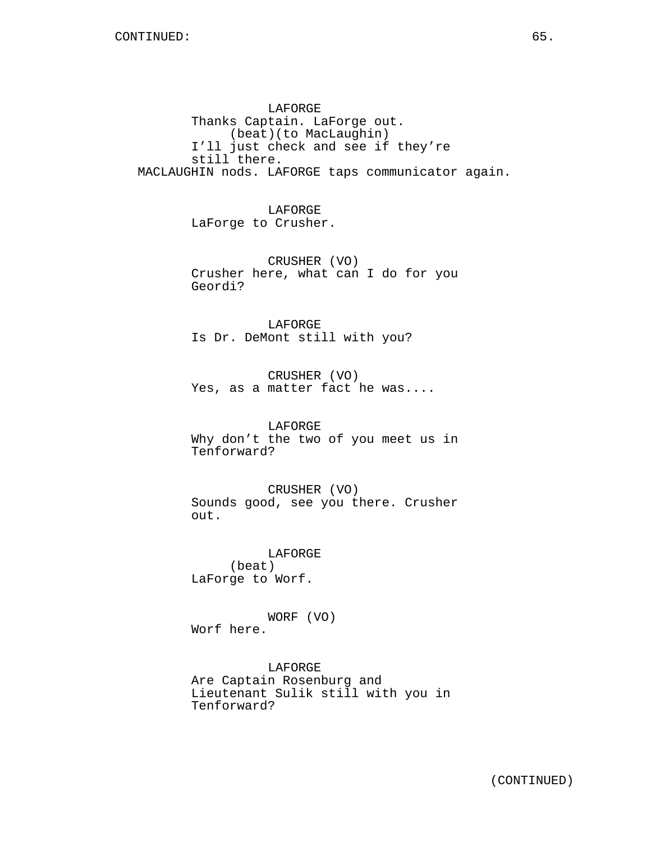LAFORGE Thanks Captain. LaForge out. (beat)(to MacLaughin) I'll just check and see if they're still there. MACLAUGHIN nods. LAFORGE taps communicator again.

> LAFORGE LaForge to Crusher.

CRUSHER (VO) Crusher here, what can I do for you Geordi?

LAFORGE Is Dr. DeMont still with you?

CRUSHER (VO) Yes, as a matter fact he was....

LAFORGE Why don't the two of you meet us in Tenforward?

CRUSHER (VO) Sounds good, see you there. Crusher out.

LAFORGE (beat) LaForge to Worf.

WORF (VO) Worf here.

LAFORGE Are Captain Rosenburg and Lieutenant Sulik still with you in Tenforward?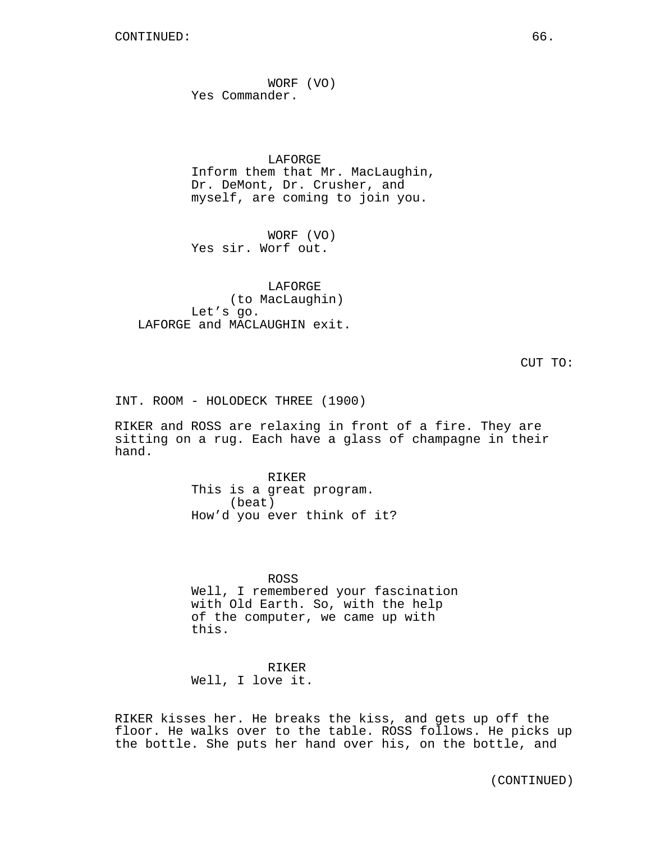WORF (VO) Yes Commander.

LAFORGE Inform them that Mr. MacLaughin, Dr. DeMont, Dr. Crusher, and myself, are coming to join you.

WORF (VO) Yes sir. Worf out.

LAFORGE (to MacLaughin) Let's go. LAFORGE and MACLAUGHIN exit.

CUT TO:

INT. ROOM - HOLODECK THREE (1900)

RIKER and ROSS are relaxing in front of a fire. They are sitting on a rug. Each have a glass of champagne in their hand.

> RIKER This is a great program. (beat) How'd you ever think of it?

ROSS Well, I remembered your fascination with Old Earth. So, with the help of the computer, we came up with this.

RIKER Well, I love it.

RIKER kisses her. He breaks the kiss, and gets up off the floor. He walks over to the table. ROSS follows. He picks up the bottle. She puts her hand over his, on the bottle, and